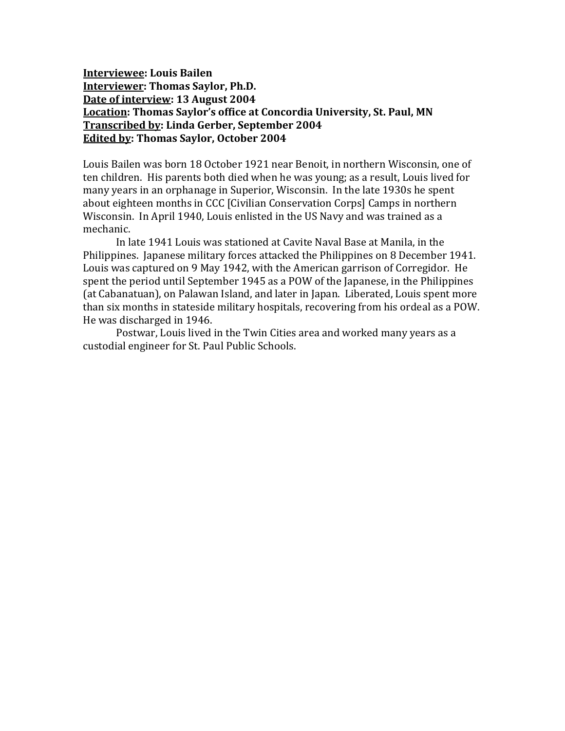**Interviewee: Louis Bailen Interviewer: Thomas Saylor, Ph.D. Date of interview: 13 August 2004 Location: Thomas Saylor's office at Concordia University, St. Paul, MN Transcribed by: Linda Gerber, September 2004 Edited by: Thomas Saylor, October 2004**

Louis Bailen was born 18 October 1921 near Benoit, in northern Wisconsin, one of ten children. His parents both died when he was young; as a result, Louis lived for many years in an orphanage in Superior, Wisconsin. In the late 1930s he spent about eighteen months in CCC [Civilian Conservation Corps] Camps in northern Wisconsin. In April 1940, Louis enlisted in the US Navy and was trained as a mechanic.

In late 1941 Louis was stationed at Cavite Naval Base at Manila, in the Philippines. Japanese military forces attacked the Philippines on 8 December 1941. Louis was captured on 9 May 1942, with the American garrison of Corregidor. He spent the period until September 1945 as a POW of the Japanese, in the Philippines (at Cabanatuan), on Palawan Island, and later in Japan. Liberated, Louis spent more than six months in stateside military hospitals, recovering from his ordeal as a POW. He was discharged in 1946.

Postwar, Louis lived in the Twin Cities area and worked many years as a custodial engineer for St. Paul Public Schools.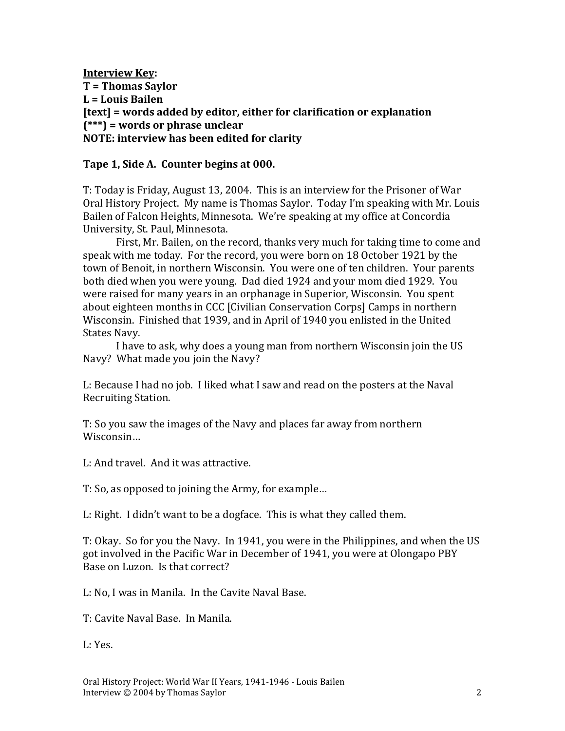**Interview Key: T = Thomas Saylor L = Louis Bailen [text] = words added by editor, either for clarification or explanation (\*\*\*) = words or phrase unclear NOTE: interview has been edited for clarity**

#### **Tape 1, Side A. Counter begins at 000.**

T: Today is Friday, August 13, 2004. This is an interview for the Prisoner of War Oral History Project. My name is Thomas Saylor. Today I'm speaking with Mr. Louis Bailen of Falcon Heights, Minnesota. We're speaking at my office at Concordia University, St. Paul, Minnesota.

First, Mr. Bailen, on the record, thanks very much for taking time to come and speak with me today. For the record, you were born on 18 October 1921 by the town of Benoit, in northern Wisconsin. You were one of ten children. Your parents both died when you were young. Dad died 1924 and your mom died 1929. You were raised for many years in an orphanage in Superior, Wisconsin. You spent about eighteen months in CCC [Civilian Conservation Corps] Camps in northern Wisconsin. Finished that 1939, and in April of 1940 you enlisted in the United States Navy.

I have to ask, why does a young man from northern Wisconsin join the US Navy? What made you join the Navy?

L: Because I had no job. I liked what I saw and read on the posters at the Naval Recruiting Station.

T: So you saw the images of the Navy and places far away from northern Wisconsin…

L: And travel. And it was attractive.

T: So, as opposed to joining the Army, for example…

L: Right. I didn't want to be a dogface. This is what they called them.

T: Okay. So for you the Navy. In 1941, you were in the Philippines, and when the US got involved in the Pacific War in December of 1941, you were at Olongapo PBY Base on Luzon. Is that correct?

L: No, I was in Manila. In the Cavite Naval Base.

T: Cavite Naval Base. In Manila.

L: Yes.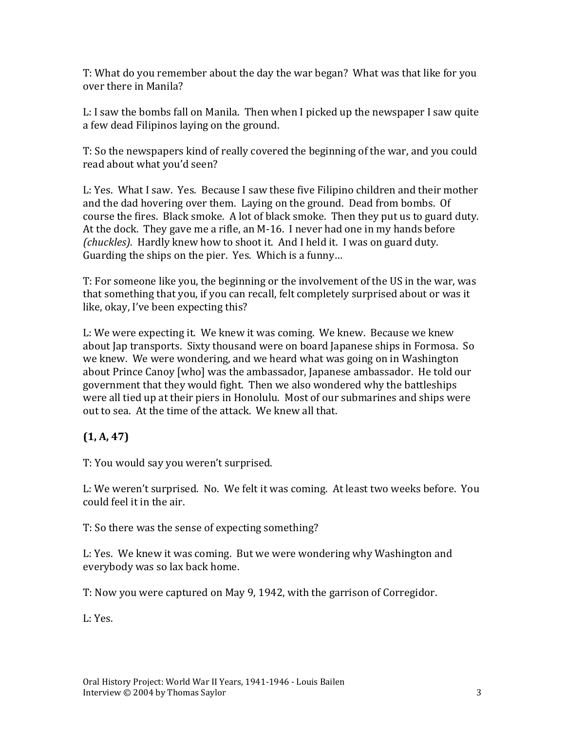T: What do you remember about the day the war began? What was that like for you over there in Manila?

L: I saw the bombs fall on Manila. Then when I picked up the newspaper I saw quite a few dead Filipinos laying on the ground.

T: So the newspapers kind of really covered the beginning of the war, and you could read about what you'd seen?

L: Yes. What I saw. Yes. Because I saw these five Filipino children and their mother and the dad hovering over them. Laying on the ground. Dead from bombs. Of course the fires. Black smoke. A lot of black smoke. Then they put us to guard duty. At the dock. They gave me a rifle, an M-16. I never had one in my hands before *(chuckles)*. Hardly knew how to shoot it. And I held it. I was on guard duty. Guarding the ships on the pier. Yes. Which is a funny…

T: For someone like you, the beginning or the involvement of the US in the war, was that something that you, if you can recall, felt completely surprised about or was it like, okay, I've been expecting this?

L: We were expecting it. We knew it was coming. We knew. Because we knew about Jap transports. Sixty thousand were on board Japanese ships in Formosa. So we knew. We were wondering, and we heard what was going on in Washington about Prince Canoy [who] was the ambassador, Japanese ambassador. He told our government that they would fight. Then we also wondered why the battleships were all tied up at their piers in Honolulu. Most of our submarines and ships were out to sea. At the time of the attack. We knew all that.

# **(1, A, 47)**

T: You would say you weren't surprised.

L: We weren't surprised. No. We felt it was coming. At least two weeks before. You could feel it in the air.

T: So there was the sense of expecting something?

L: Yes. We knew it was coming. But we were wondering why Washington and everybody was so lax back home.

T: Now you were captured on May 9, 1942, with the garrison of Corregidor.

L: Yes.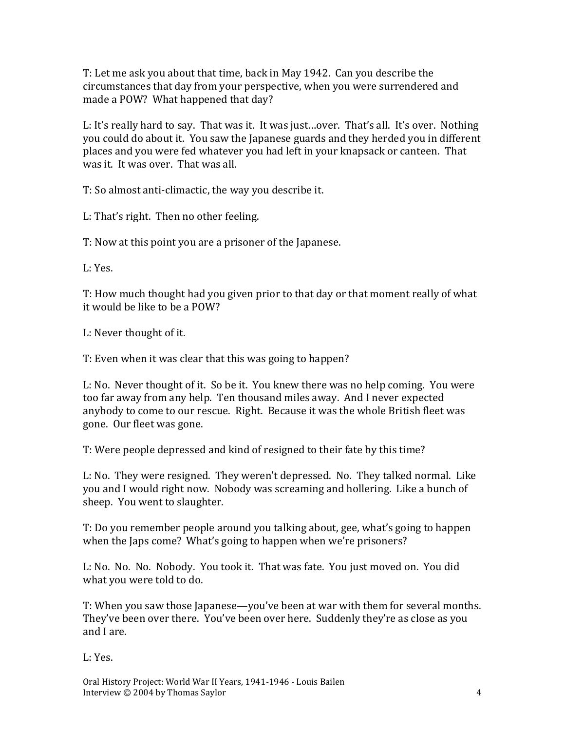T: Let me ask you about that time, back in May 1942. Can you describe the circumstances that day from your perspective, when you were surrendered and made a POW? What happened that day?

L: It's really hard to say. That was it. It was just…over. That's all. It's over. Nothing you could do about it. You saw the Japanese guards and they herded you in different places and you were fed whatever you had left in your knapsack or canteen. That was it. It was over. That was all.

T: So almost anti-climactic, the way you describe it.

L: That's right. Then no other feeling.

T: Now at this point you are a prisoner of the Japanese.

L: Yes.

T: How much thought had you given prior to that day or that moment really of what it would be like to be a POW?

L: Never thought of it.

T: Even when it was clear that this was going to happen?

L: No. Never thought of it. So be it. You knew there was no help coming. You were too far away from any help. Ten thousand miles away. And I never expected anybody to come to our rescue. Right. Because it was the whole British fleet was gone. Our fleet was gone.

T: Were people depressed and kind of resigned to their fate by this time?

L: No. They were resigned. They weren't depressed. No. They talked normal. Like you and I would right now. Nobody was screaming and hollering. Like a bunch of sheep. You went to slaughter.

T: Do you remember people around you talking about, gee, what's going to happen when the Japs come? What's going to happen when we're prisoners?

L: No. No. No. Nobody. You took it. That was fate. You just moved on. You did what you were told to do.

T: When you saw those Japanese—you've been at war with them for several months. They've been over there. You've been over here. Suddenly they're as close as you and I are.

L: Yes.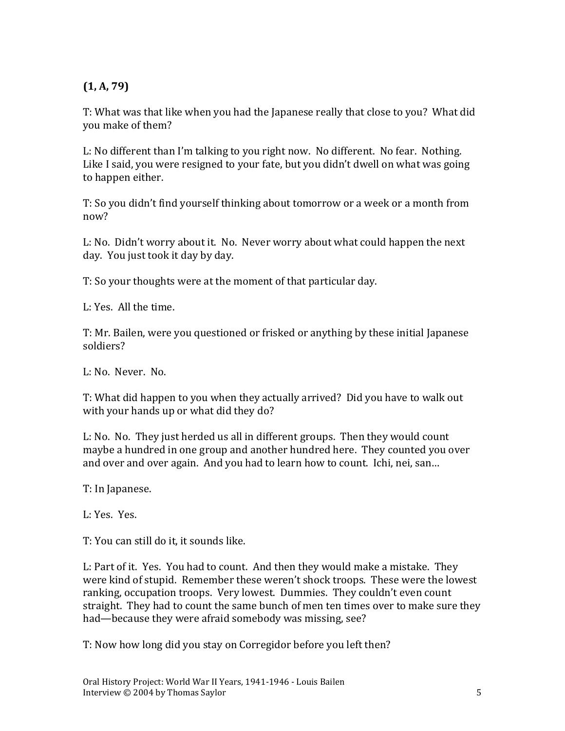## **(1, A, 79)**

T: What was that like when you had the Japanese really that close to you? What did you make of them?

L: No different than I'm talking to you right now. No different. No fear. Nothing. Like I said, you were resigned to your fate, but you didn't dwell on what was going to happen either.

T: So you didn't find yourself thinking about tomorrow or a week or a month from now?

L: No. Didn't worry about it. No. Never worry about what could happen the next day. You just took it day by day.

T: So your thoughts were at the moment of that particular day.

L: Yes. All the time.

T: Mr. Bailen, were you questioned or frisked or anything by these initial Japanese soldiers?

L: No. Never. No.

T: What did happen to you when they actually arrived? Did you have to walk out with your hands up or what did they do?

L: No. No. They just herded us all in different groups. Then they would count maybe a hundred in one group and another hundred here. They counted you over and over and over again. And you had to learn how to count. Ichi, nei, san…

T: In Japanese.

L: Yes. Yes.

T: You can still do it, it sounds like.

L: Part of it. Yes. You had to count. And then they would make a mistake. They were kind of stupid. Remember these weren't shock troops. These were the lowest ranking, occupation troops. Very lowest. Dummies. They couldn't even count straight. They had to count the same bunch of men ten times over to make sure they had—because they were afraid somebody was missing, see?

T: Now how long did you stay on Corregidor before you left then?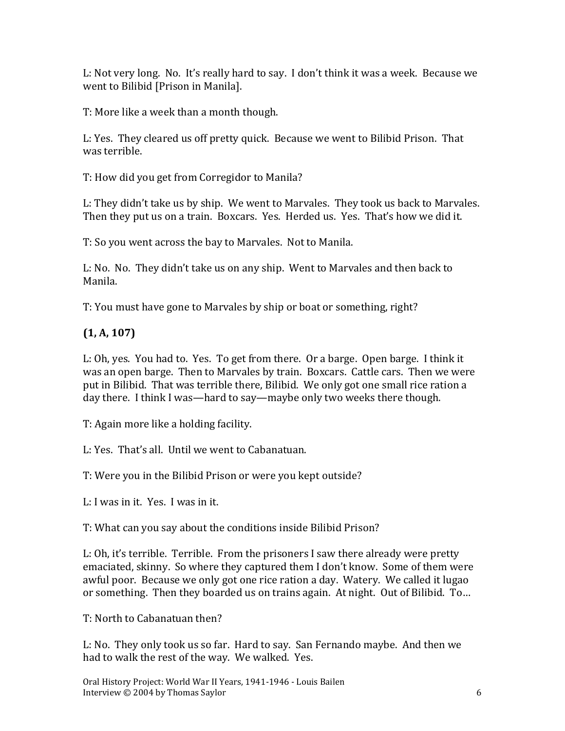L: Not very long. No. It's really hard to say. I don't think it was a week. Because we went to Bilibid [Prison in Manila].

T: More like a week than a month though.

L: Yes. They cleared us off pretty quick. Because we went to Bilibid Prison. That was terrible.

T: How did you get from Corregidor to Manila?

L: They didn't take us by ship. We went to Marvales. They took us back to Marvales. Then they put us on a train. Boxcars. Yes. Herded us. Yes. That's how we did it.

T: So you went across the bay to Marvales. Not to Manila.

L: No. No. They didn't take us on any ship. Went to Marvales and then back to Manila.

T: You must have gone to Marvales by ship or boat or something, right?

# **(1, A, 107)**

L: Oh, yes. You had to. Yes. To get from there. Or a barge. Open barge. I think it was an open barge. Then to Marvales by train. Boxcars. Cattle cars. Then we were put in Bilibid. That was terrible there, Bilibid. We only got one small rice ration a day there. I think I was—hard to say—maybe only two weeks there though.

T: Again more like a holding facility.

L: Yes. That's all. Until we went to Cabanatuan.

T: Were you in the Bilibid Prison or were you kept outside?

L: I was in it. Yes. I was in it.

T: What can you say about the conditions inside Bilibid Prison?

L: Oh, it's terrible. Terrible. From the prisoners I saw there already were pretty emaciated, skinny. So where they captured them I don't know. Some of them were awful poor. Because we only got one rice ration a day. Watery. We called it lugao or something. Then they boarded us on trains again. At night. Out of Bilibid. To…

T: North to Cabanatuan then?

L: No. They only took us so far. Hard to say. San Fernando maybe. And then we had to walk the rest of the way. We walked. Yes.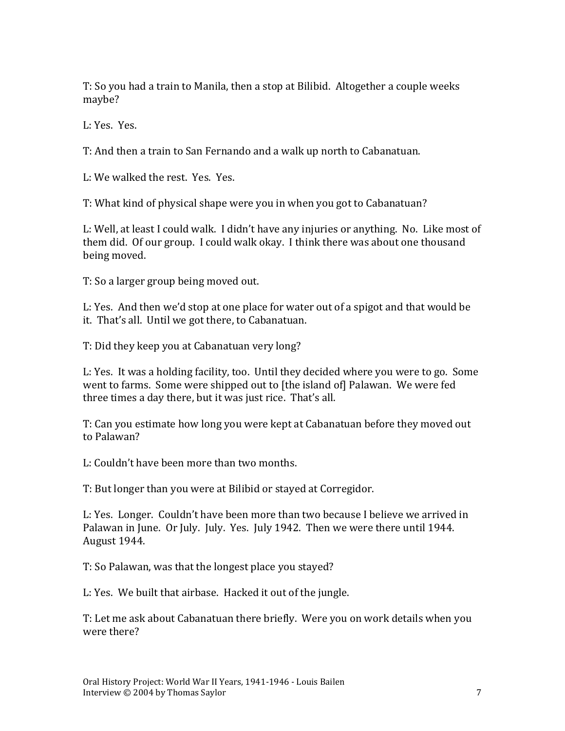T: So you had a train to Manila, then a stop at Bilibid. Altogether a couple weeks maybe?

L: Yes. Yes.

T: And then a train to San Fernando and a walk up north to Cabanatuan.

L: We walked the rest. Yes. Yes.

T: What kind of physical shape were you in when you got to Cabanatuan?

L: Well, at least I could walk. I didn't have any injuries or anything. No. Like most of them did. Of our group. I could walk okay. I think there was about one thousand being moved.

T: So a larger group being moved out.

L: Yes. And then we'd stop at one place for water out of a spigot and that would be it. That's all. Until we got there, to Cabanatuan.

T: Did they keep you at Cabanatuan very long?

L: Yes. It was a holding facility, too. Until they decided where you were to go. Some went to farms. Some were shipped out to [the island of] Palawan. We were fed three times a day there, but it was just rice. That's all.

T: Can you estimate how long you were kept at Cabanatuan before they moved out to Palawan?

L: Couldn't have been more than two months.

T: But longer than you were at Bilibid or stayed at Corregidor.

L: Yes. Longer. Couldn't have been more than two because I believe we arrived in Palawan in June. Or July. July. Yes. July 1942. Then we were there until 1944. August 1944.

T: So Palawan, was that the longest place you stayed?

L: Yes. We built that airbase. Hacked it out of the jungle.

T: Let me ask about Cabanatuan there briefly. Were you on work details when you were there?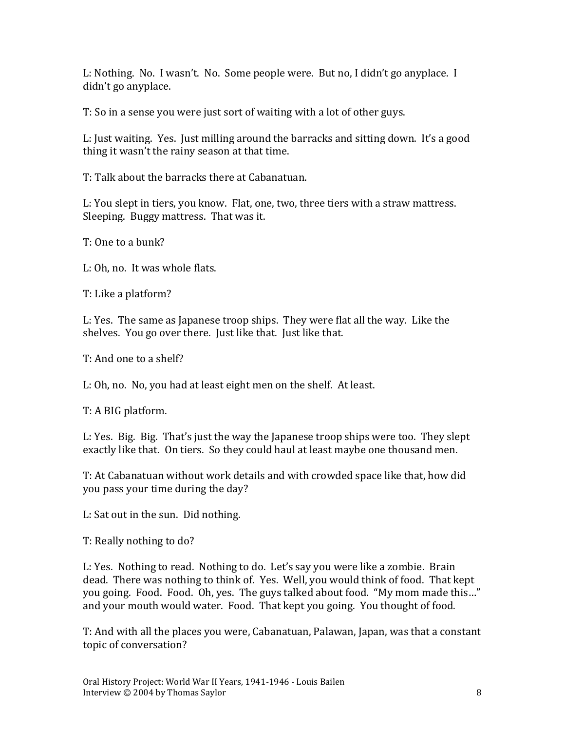L: Nothing. No. I wasn't. No. Some people were. But no, I didn't go anyplace. I didn't go anyplace.

T: So in a sense you were just sort of waiting with a lot of other guys.

L: Just waiting. Yes. Just milling around the barracks and sitting down. It's a good thing it wasn't the rainy season at that time.

T: Talk about the barracks there at Cabanatuan.

L: You slept in tiers, you know. Flat, one, two, three tiers with a straw mattress. Sleeping. Buggy mattress. That was it.

T: One to a bunk?

L: Oh, no. It was whole flats.

T: Like a platform?

L: Yes. The same as Japanese troop ships. They were flat all the way. Like the shelves. You go over there. Just like that. Just like that.

T: And one to a shelf?

L: Oh, no. No, you had at least eight men on the shelf. At least.

T: A BIG platform.

L: Yes. Big. Big. That's just the way the Japanese troop ships were too. They slept exactly like that. On tiers. So they could haul at least maybe one thousand men.

T: At Cabanatuan without work details and with crowded space like that, how did you pass your time during the day?

L: Sat out in the sun. Did nothing.

T: Really nothing to do?

L: Yes. Nothing to read. Nothing to do. Let's say you were like a zombie. Brain dead. There was nothing to think of. Yes. Well, you would think of food. That kept you going. Food. Food. Oh, yes. The guys talked about food. "My mom made this…" and your mouth would water. Food. That kept you going. You thought of food.

T: And with all the places you were, Cabanatuan, Palawan, Japan, was that a constant topic of conversation?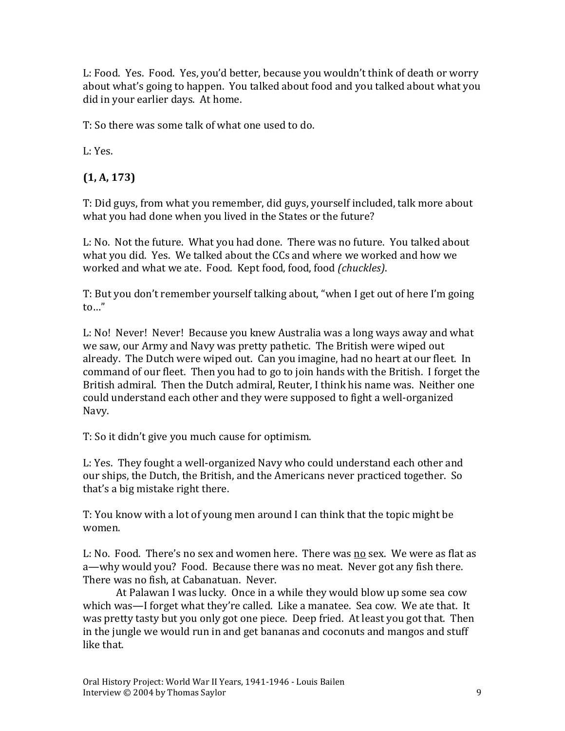L: Food. Yes. Food. Yes, you'd better, because you wouldn't think of death or worry about what's going to happen. You talked about food and you talked about what you did in your earlier days. At home.

T: So there was some talk of what one used to do.

L: Yes.

### **(1, A, 173)**

T: Did guys, from what you remember, did guys, yourself included, talk more about what you had done when you lived in the States or the future?

L: No. Not the future. What you had done. There was no future. You talked about what you did. Yes. We talked about the CCs and where we worked and how we worked and what we ate. Food. Kept food, food, food *(chuckles)*.

T: But you don't remember yourself talking about, "when I get out of here I'm going to…"

L: No! Never! Never! Because you knew Australia was a long ways away and what we saw, our Army and Navy was pretty pathetic. The British were wiped out already. The Dutch were wiped out. Can you imagine, had no heart at our fleet. In command of our fleet. Then you had to go to join hands with the British. I forget the British admiral. Then the Dutch admiral, Reuter, I think his name was. Neither one could understand each other and they were supposed to fight a well-organized Navy.

T: So it didn't give you much cause for optimism.

L: Yes. They fought a well-organized Navy who could understand each other and our ships, the Dutch, the British, and the Americans never practiced together. So that's a big mistake right there.

T: You know with a lot of young men around I can think that the topic might be women.

L: No. Food. There's no sex and women here. There was no sex. We were as flat as a—why would you? Food. Because there was no meat. Never got any fish there. There was no fish, at Cabanatuan. Never.

At Palawan I was lucky. Once in a while they would blow up some sea cow which was—I forget what they're called. Like a manatee. Sea cow. We ate that. It was pretty tasty but you only got one piece. Deep fried. At least you got that. Then in the jungle we would run in and get bananas and coconuts and mangos and stuff like that.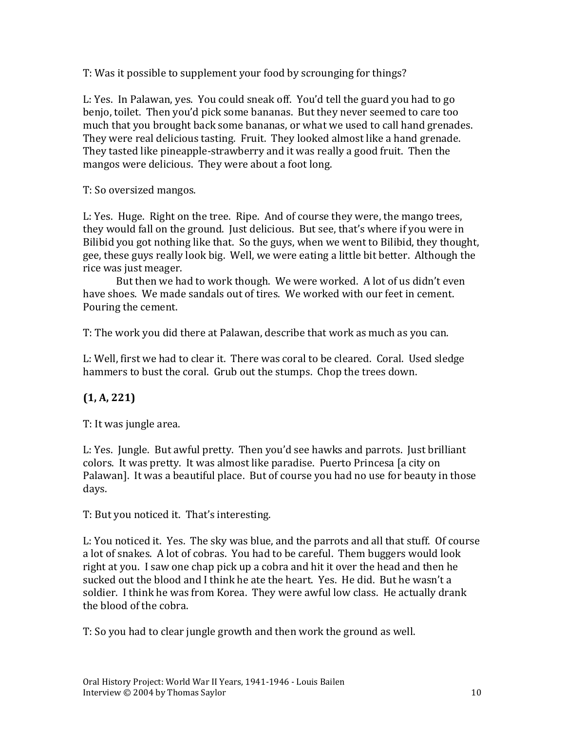T: Was it possible to supplement your food by scrounging for things?

L: Yes. In Palawan, yes. You could sneak off. You'd tell the guard you had to go benjo, toilet. Then you'd pick some bananas. But they never seemed to care too much that you brought back some bananas, or what we used to call hand grenades. They were real delicious tasting. Fruit. They looked almost like a hand grenade. They tasted like pineapple-strawberry and it was really a good fruit. Then the mangos were delicious. They were about a foot long.

T: So oversized mangos.

L: Yes. Huge. Right on the tree. Ripe. And of course they were, the mango trees, they would fall on the ground. Just delicious. But see, that's where if you were in Bilibid you got nothing like that. So the guys, when we went to Bilibid, they thought, gee, these guys really look big. Well, we were eating a little bit better. Although the rice was just meager.

But then we had to work though. We were worked. A lot of us didn't even have shoes. We made sandals out of tires. We worked with our feet in cement. Pouring the cement.

T: The work you did there at Palawan, describe that work as much as you can.

L: Well, first we had to clear it. There was coral to be cleared. Coral. Used sledge hammers to bust the coral. Grub out the stumps. Chop the trees down.

### **(1, A, 221)**

T: It was jungle area.

L: Yes. Jungle. But awful pretty. Then you'd see hawks and parrots. Just brilliant colors. It was pretty. It was almost like paradise. Puerto Princesa [a city on Palawan]. It was a beautiful place. But of course you had no use for beauty in those days.

T: But you noticed it. That's interesting.

L: You noticed it. Yes. The sky was blue, and the parrots and all that stuff. Of course a lot of snakes. A lot of cobras. You had to be careful. Them buggers would look right at you. I saw one chap pick up a cobra and hit it over the head and then he sucked out the blood and I think he ate the heart. Yes. He did. But he wasn't a soldier. I think he was from Korea. They were awful low class. He actually drank the blood of the cobra.

T: So you had to clear jungle growth and then work the ground as well.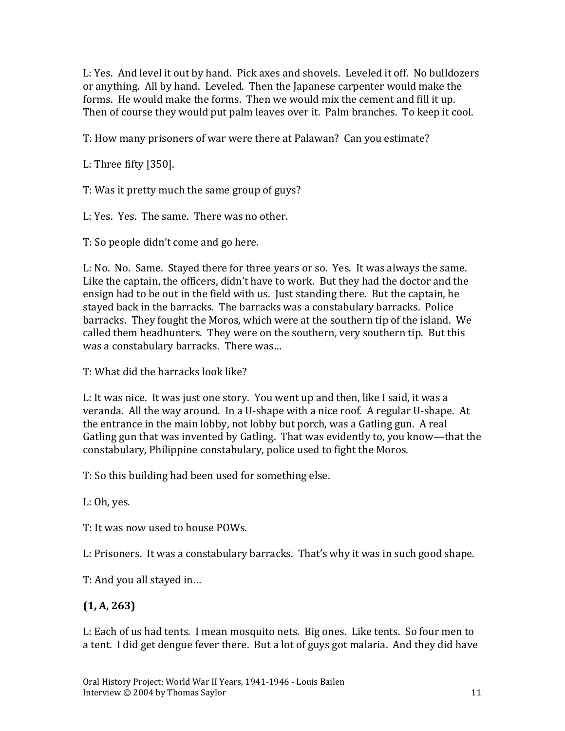L: Yes. And level it out by hand. Pick axes and shovels. Leveled it off. No bulldozers or anything. All by hand. Leveled. Then the Japanese carpenter would make the forms. He would make the forms. Then we would mix the cement and fill it up. Then of course they would put palm leaves over it. Palm branches. To keep it cool.

T: How many prisoners of war were there at Palawan? Can you estimate?

L: Three fifty [350].

T: Was it pretty much the same group of guys?

L: Yes. Yes. The same. There was no other.

T: So people didn't come and go here.

L: No. No. Same. Stayed there for three years or so. Yes. It was always the same. Like the captain, the officers, didn't have to work. But they had the doctor and the ensign had to be out in the field with us. Just standing there. But the captain, he stayed back in the barracks. The barracks was a constabulary barracks. Police barracks. They fought the Moros, which were at the southern tip of the island. We called them headhunters. They were on the southern, very southern tip. But this was a constabulary barracks. There was…

T: What did the barracks look like?

L: It was nice. It was just one story. You went up and then, like I said, it was a veranda. All the way around. In a U-shape with a nice roof. A regular U-shape. At the entrance in the main lobby, not lobby but porch, was a Gatling gun. A real Gatling gun that was invented by Gatling. That was evidently to, you know—that the constabulary, Philippine constabulary, police used to fight the Moros.

T: So this building had been used for something else.

L: Oh, yes.

T: It was now used to house POWs.

L: Prisoners. It was a constabulary barracks. That's why it was in such good shape.

T: And you all stayed in…

#### **(1, A, 263)**

L: Each of us had tents. I mean mosquito nets. Big ones. Like tents. So four men to a tent. I did get dengue fever there. But a lot of guys got malaria. And they did have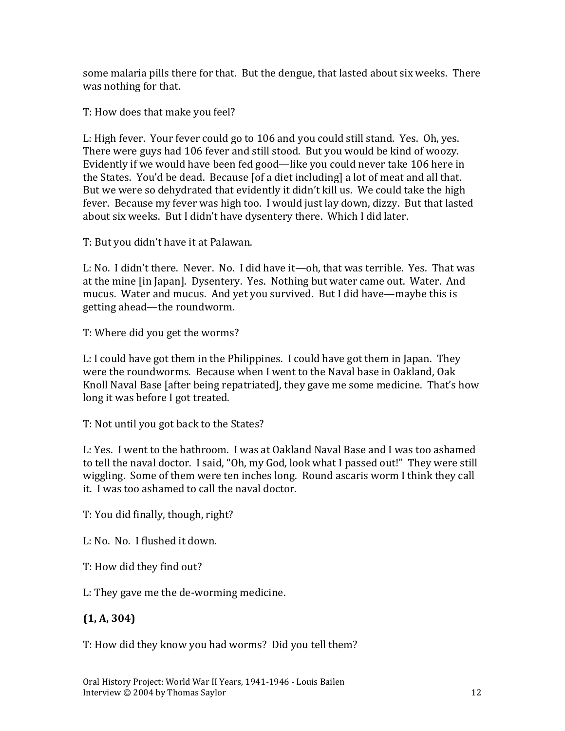some malaria pills there for that. But the dengue, that lasted about six weeks. There was nothing for that.

T: How does that make you feel?

L: High fever. Your fever could go to 106 and you could still stand. Yes. Oh, yes. There were guys had 106 fever and still stood. But you would be kind of woozy. Evidently if we would have been fed good—like you could never take 106 here in the States. You'd be dead. Because [of a diet including] a lot of meat and all that. But we were so dehydrated that evidently it didn't kill us. We could take the high fever. Because my fever was high too. I would just lay down, dizzy. But that lasted about six weeks. But I didn't have dysentery there. Which I did later.

T: But you didn't have it at Palawan.

L: No. I didn't there. Never. No. I did have it—oh, that was terrible. Yes. That was at the mine [in Japan]. Dysentery. Yes. Nothing but water came out. Water. And mucus. Water and mucus. And yet you survived. But I did have—maybe this is getting ahead—the roundworm.

T: Where did you get the worms?

L: I could have got them in the Philippines. I could have got them in Japan. They were the roundworms. Because when I went to the Naval base in Oakland, Oak Knoll Naval Base [after being repatriated], they gave me some medicine. That's how long it was before I got treated.

T: Not until you got back to the States?

L: Yes. I went to the bathroom. I was at Oakland Naval Base and I was too ashamed to tell the naval doctor. I said, "Oh, my God, look what I passed out!" They were still wiggling. Some of them were ten inches long. Round ascaris worm I think they call it. I was too ashamed to call the naval doctor.

T: You did finally, though, right?

L: No. No. I flushed it down.

T: How did they find out?

L: They gave me the de-worming medicine.

### **(1, A, 304)**

T: How did they know you had worms? Did you tell them?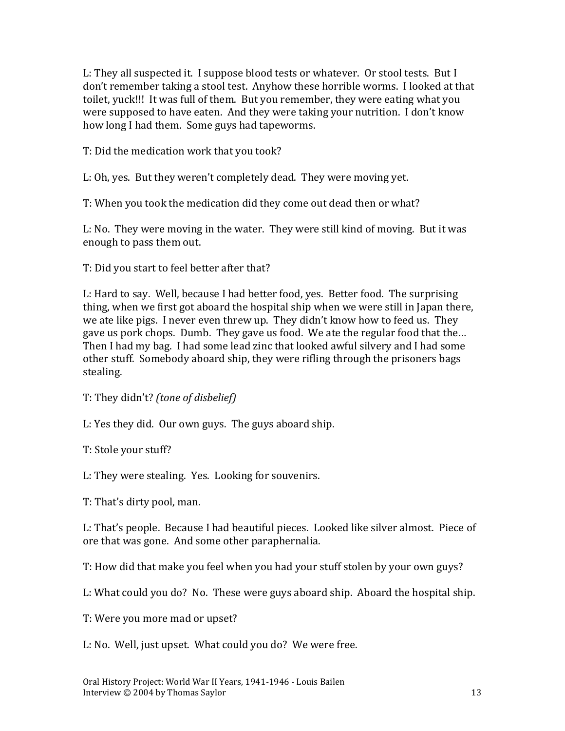L: They all suspected it. I suppose blood tests or whatever. Or stool tests. But I don't remember taking a stool test. Anyhow these horrible worms. I looked at that toilet, yuck!!! It was full of them. But you remember, they were eating what you were supposed to have eaten. And they were taking your nutrition. I don't know how long I had them. Some guys had tapeworms.

T: Did the medication work that you took?

L: Oh, yes. But they weren't completely dead. They were moving yet.

T: When you took the medication did they come out dead then or what?

L: No. They were moving in the water. They were still kind of moving. But it was enough to pass them out.

T: Did you start to feel better after that?

L: Hard to say. Well, because I had better food, yes. Better food. The surprising thing, when we first got aboard the hospital ship when we were still in Japan there, we ate like pigs. I never even threw up. They didn't know how to feed us. They gave us pork chops. Dumb. They gave us food. We ate the regular food that the… Then I had my bag. I had some lead zinc that looked awful silvery and I had some other stuff. Somebody aboard ship, they were rifling through the prisoners bags stealing.

T: They didn't? *(tone of disbelief)*

L: Yes they did. Our own guys. The guys aboard ship.

T: Stole your stuff?

L: They were stealing. Yes. Looking for souvenirs.

T: That's dirty pool, man.

L: That's people. Because I had beautiful pieces. Looked like silver almost. Piece of ore that was gone. And some other paraphernalia.

T: How did that make you feel when you had your stuff stolen by your own guys?

L: What could you do? No. These were guys aboard ship. Aboard the hospital ship.

T: Were you more mad or upset?

L: No. Well, just upset. What could you do? We were free.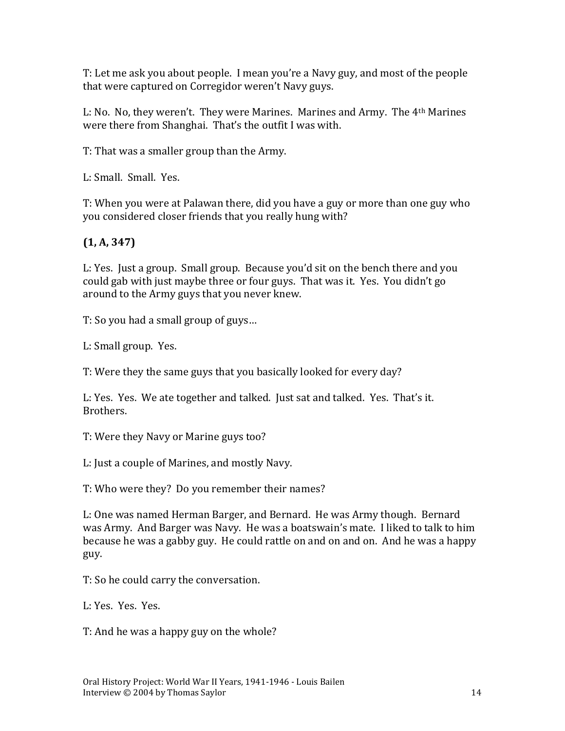T: Let me ask you about people. I mean you're a Navy guy, and most of the people that were captured on Corregidor weren't Navy guys.

L: No. No, they weren't. They were Marines. Marines and Army. The 4th Marines were there from Shanghai. That's the outfit I was with.

T: That was a smaller group than the Army.

L: Small. Small. Yes.

T: When you were at Palawan there, did you have a guy or more than one guy who you considered closer friends that you really hung with?

## **(1, A, 347)**

L: Yes. Just a group. Small group. Because you'd sit on the bench there and you could gab with just maybe three or four guys. That was it. Yes. You didn't go around to the Army guys that you never knew.

T: So you had a small group of guys…

L: Small group. Yes.

T: Were they the same guys that you basically looked for every day?

L: Yes. Yes. We ate together and talked. Just sat and talked. Yes. That's it. Brothers.

T: Were they Navy or Marine guys too?

L: Just a couple of Marines, and mostly Navy.

T: Who were they? Do you remember their names?

L: One was named Herman Barger, and Bernard. He was Army though. Bernard was Army. And Barger was Navy. He was a boatswain's mate. I liked to talk to him because he was a gabby guy. He could rattle on and on and on. And he was a happy guy.

T: So he could carry the conversation.

L: Yes. Yes. Yes.

T: And he was a happy guy on the whole?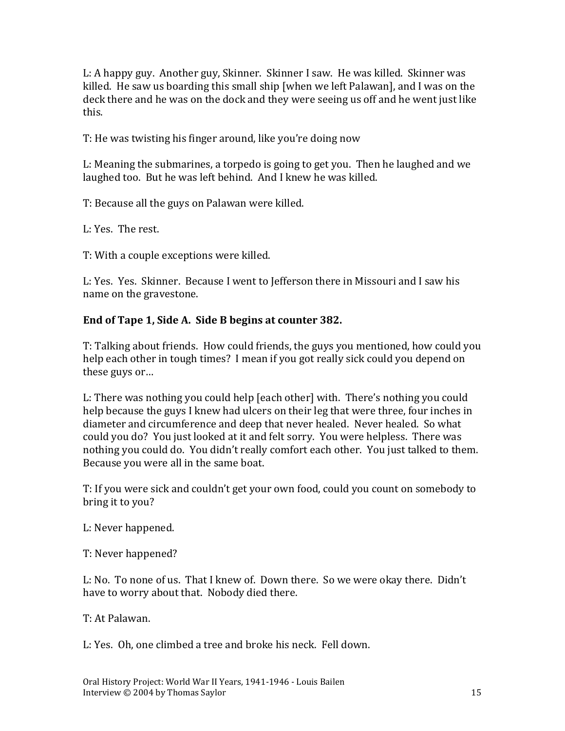L: A happy guy. Another guy, Skinner. Skinner I saw. He was killed. Skinner was killed. He saw us boarding this small ship [when we left Palawan], and I was on the deck there and he was on the dock and they were seeing us off and he went just like this.

T: He was twisting his finger around, like you're doing now

L: Meaning the submarines, a torpedo is going to get you. Then he laughed and we laughed too. But he was left behind. And I knew he was killed.

T: Because all the guys on Palawan were killed.

L: Yes. The rest.

T: With a couple exceptions were killed.

L: Yes. Yes. Skinner. Because I went to Jefferson there in Missouri and I saw his name on the gravestone.

#### **End of Tape 1, Side A. Side B begins at counter 382.**

T: Talking about friends. How could friends, the guys you mentioned, how could you help each other in tough times? I mean if you got really sick could you depend on these guys or…

L: There was nothing you could help [each other] with. There's nothing you could help because the guys I knew had ulcers on their leg that were three, four inches in diameter and circumference and deep that never healed. Never healed. So what could you do? You just looked at it and felt sorry. You were helpless. There was nothing you could do. You didn't really comfort each other. You just talked to them. Because you were all in the same boat.

T: If you were sick and couldn't get your own food, could you count on somebody to bring it to you?

L: Never happened.

T: Never happened?

L: No. To none of us. That I knew of. Down there. So we were okay there. Didn't have to worry about that. Nobody died there.

T: At Palawan.

L: Yes. Oh, one climbed a tree and broke his neck. Fell down.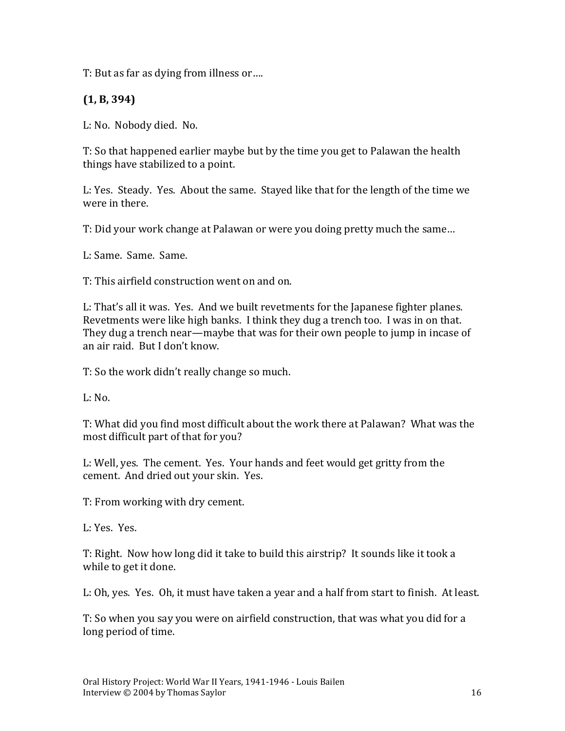T: But as far as dying from illness or….

**(1, B, 394)**

L: No. Nobody died. No.

T: So that happened earlier maybe but by the time you get to Palawan the health things have stabilized to a point.

L: Yes. Steady. Yes. About the same. Stayed like that for the length of the time we were in there.

T: Did your work change at Palawan or were you doing pretty much the same…

L: Same. Same. Same.

T: This airfield construction went on and on.

L: That's all it was. Yes. And we built revetments for the Japanese fighter planes. Revetments were like high banks. I think they dug a trench too. I was in on that. They dug a trench near—maybe that was for their own people to jump in incase of an air raid. But I don't know.

T: So the work didn't really change so much.

 $L: No.$ 

T: What did you find most difficult about the work there at Palawan? What was the most difficult part of that for you?

L: Well, yes. The cement. Yes. Your hands and feet would get gritty from the cement. And dried out your skin. Yes.

T: From working with dry cement.

L: Yes. Yes.

T: Right. Now how long did it take to build this airstrip? It sounds like it took a while to get it done.

L: Oh, yes. Yes. Oh, it must have taken a year and a half from start to finish. At least.

T: So when you say you were on airfield construction, that was what you did for a long period of time.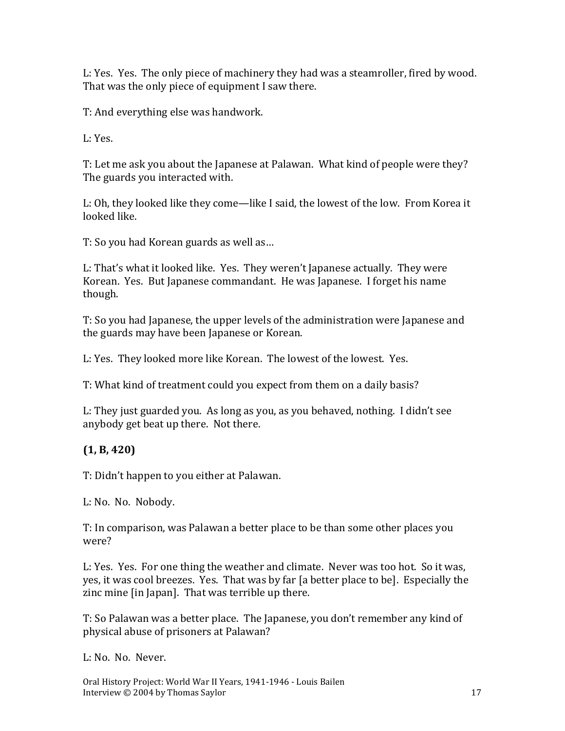L: Yes. Yes. The only piece of machinery they had was a steamroller, fired by wood. That was the only piece of equipment I saw there.

T: And everything else was handwork.

L: Yes.

T: Let me ask you about the Japanese at Palawan. What kind of people were they? The guards you interacted with.

L: Oh, they looked like they come—like I said, the lowest of the low. From Korea it looked like.

T: So you had Korean guards as well as…

L: That's what it looked like. Yes. They weren't Japanese actually. They were Korean. Yes. But Japanese commandant. He was Japanese. I forget his name though.

T: So you had Japanese, the upper levels of the administration were Japanese and the guards may have been Japanese or Korean.

L: Yes. They looked more like Korean. The lowest of the lowest. Yes.

T: What kind of treatment could you expect from them on a daily basis?

L: They just guarded you. As long as you, as you behaved, nothing. I didn't see anybody get beat up there. Not there.

### **(1, B, 420)**

T: Didn't happen to you either at Palawan.

L: No. No. Nobody.

T: In comparison, was Palawan a better place to be than some other places you were?

L: Yes. Yes. For one thing the weather and climate. Never was too hot. So it was, yes, it was cool breezes. Yes. That was by far [a better place to be]. Especially the zinc mine [in Japan]. That was terrible up there.

T: So Palawan was a better place. The Japanese, you don't remember any kind of physical abuse of prisoners at Palawan?

L: No. No. Never.

Oral History Project: World War II Years, 1941-1946 - Louis Bailen Interview © 2004 by Thomas Saylor 17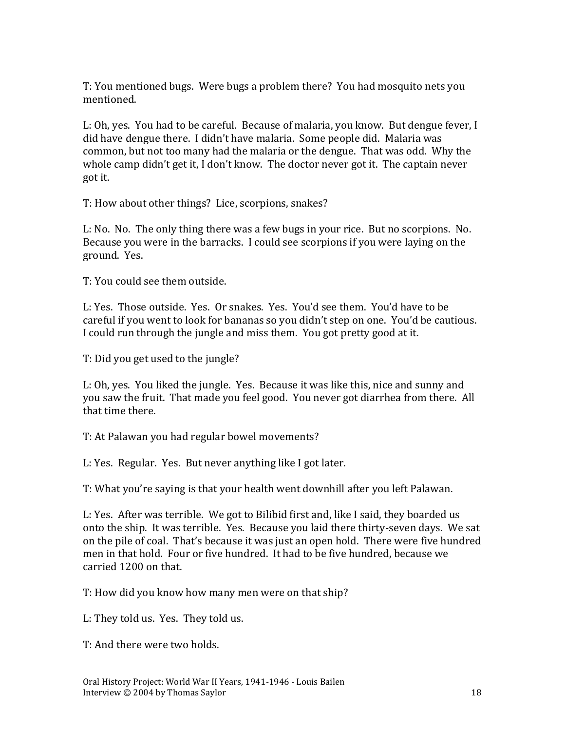T: You mentioned bugs. Were bugs a problem there? You had mosquito nets you mentioned.

L: Oh, yes. You had to be careful. Because of malaria, you know. But dengue fever, I did have dengue there. I didn't have malaria. Some people did. Malaria was common, but not too many had the malaria or the dengue. That was odd. Why the whole camp didn't get it, I don't know. The doctor never got it. The captain never got it.

T: How about other things? Lice, scorpions, snakes?

L: No. No. The only thing there was a few bugs in your rice. But no scorpions. No. Because you were in the barracks. I could see scorpions if you were laying on the ground. Yes.

T: You could see them outside.

L: Yes. Those outside. Yes. Or snakes. Yes. You'd see them. You'd have to be careful if you went to look for bananas so you didn't step on one. You'd be cautious. I could run through the jungle and miss them. You got pretty good at it.

T: Did you get used to the jungle?

L: Oh, yes. You liked the jungle. Yes. Because it was like this, nice and sunny and you saw the fruit. That made you feel good. You never got diarrhea from there. All that time there.

T: At Palawan you had regular bowel movements?

L: Yes. Regular. Yes. But never anything like I got later.

T: What you're saying is that your health went downhill after you left Palawan.

L: Yes. After was terrible. We got to Bilibid first and, like I said, they boarded us onto the ship. It was terrible. Yes. Because you laid there thirty-seven days. We sat on the pile of coal. That's because it was just an open hold. There were five hundred men in that hold. Four or five hundred. It had to be five hundred, because we carried 1200 on that.

T: How did you know how many men were on that ship?

L: They told us. Yes. They told us.

T: And there were two holds.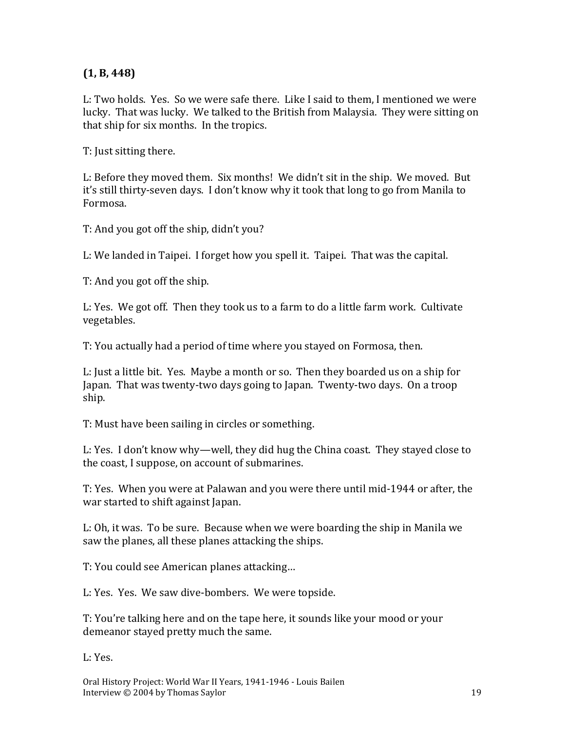#### **(1, B, 448)**

L: Two holds. Yes. So we were safe there. Like I said to them, I mentioned we were lucky. That was lucky. We talked to the British from Malaysia. They were sitting on that ship for six months. In the tropics.

T: Just sitting there.

L: Before they moved them. Six months! We didn't sit in the ship. We moved. But it's still thirty-seven days. I don't know why it took that long to go from Manila to Formosa.

T: And you got off the ship, didn't you?

L: We landed in Taipei. I forget how you spell it. Taipei. That was the capital.

T: And you got off the ship.

L: Yes. We got off. Then they took us to a farm to do a little farm work. Cultivate vegetables.

T: You actually had a period of time where you stayed on Formosa, then.

L: Just a little bit. Yes. Maybe a month or so. Then they boarded us on a ship for Japan. That was twenty-two days going to Japan. Twenty-two days. On a troop ship.

T: Must have been sailing in circles or something.

L: Yes. I don't know why—well, they did hug the China coast. They stayed close to the coast, I suppose, on account of submarines.

T: Yes. When you were at Palawan and you were there until mid-1944 or after, the war started to shift against Japan.

L: Oh, it was. To be sure. Because when we were boarding the ship in Manila we saw the planes, all these planes attacking the ships.

T: You could see American planes attacking…

L: Yes. Yes. We saw dive-bombers. We were topside.

T: You're talking here and on the tape here, it sounds like your mood or your demeanor stayed pretty much the same.

L: Yes.

Oral History Project: World War II Years, 1941-1946 - Louis Bailen Interview © 2004 by Thomas Saylor 19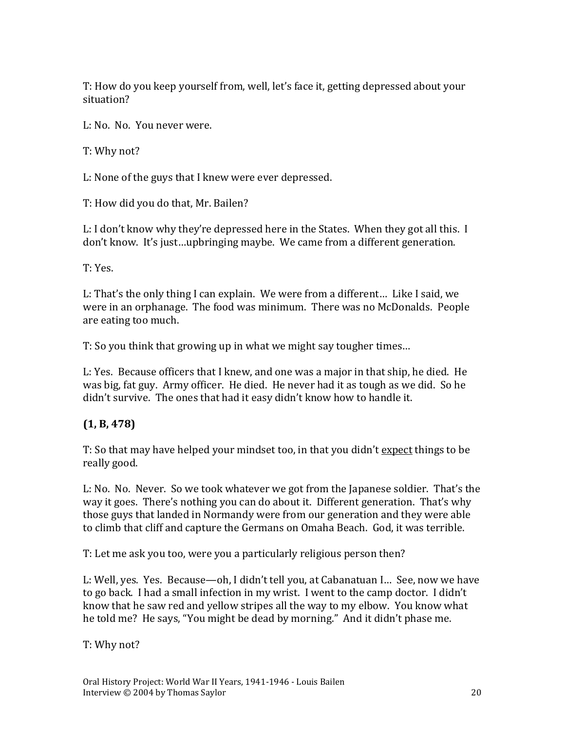T: How do you keep yourself from, well, let's face it, getting depressed about your situation?

L: No. No. You never were.

T: Why not?

L: None of the guys that I knew were ever depressed.

T: How did you do that, Mr. Bailen?

L: I don't know why they're depressed here in the States. When they got all this. I don't know. It's just…upbringing maybe. We came from a different generation.

T: Yes.

L: That's the only thing I can explain. We were from a different… Like I said, we were in an orphanage. The food was minimum. There was no McDonalds. People are eating too much.

T: So you think that growing up in what we might say tougher times…

L: Yes. Because officers that I knew, and one was a major in that ship, he died. He was big, fat guy. Army officer. He died. He never had it as tough as we did. So he didn't survive. The ones that had it easy didn't know how to handle it.

### **(1, B, 478)**

T: So that may have helped your mindset too, in that you didn't expect things to be really good.

L: No. No. Never. So we took whatever we got from the Japanese soldier. That's the way it goes. There's nothing you can do about it. Different generation. That's why those guys that landed in Normandy were from our generation and they were able to climb that cliff and capture the Germans on Omaha Beach. God, it was terrible.

T: Let me ask you too, were you a particularly religious person then?

L: Well, yes. Yes. Because—oh, I didn't tell you, at Cabanatuan I… See, now we have to go back. I had a small infection in my wrist. I went to the camp doctor. I didn't know that he saw red and yellow stripes all the way to my elbow. You know what he told me? He says, "You might be dead by morning." And it didn't phase me.

T: Why not?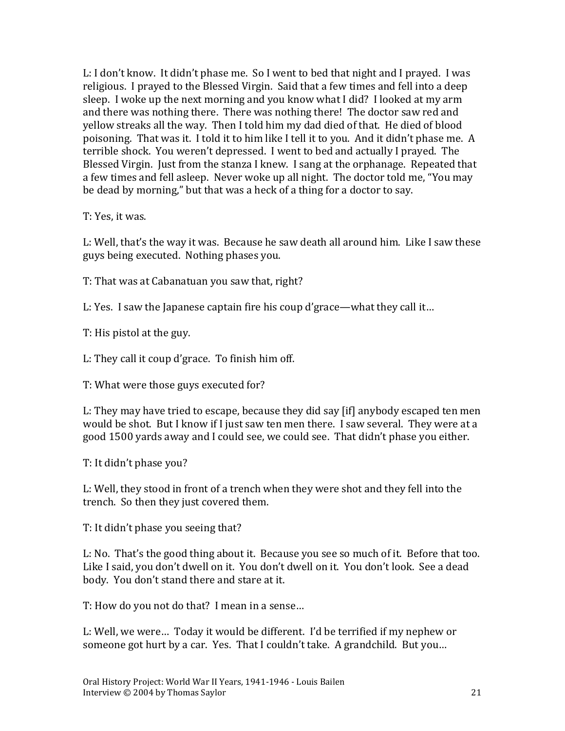L: I don't know. It didn't phase me. So I went to bed that night and I prayed. I was religious. I prayed to the Blessed Virgin. Said that a few times and fell into a deep sleep. I woke up the next morning and you know what I did? I looked at my arm and there was nothing there. There was nothing there! The doctor saw red and yellow streaks all the way. Then I told him my dad died of that. He died of blood poisoning. That was it. I told it to him like I tell it to you. And it didn't phase me. A terrible shock. You weren't depressed. I went to bed and actually I prayed. The Blessed Virgin. Just from the stanza I knew. I sang at the orphanage. Repeated that a few times and fell asleep. Never woke up all night. The doctor told me, "You may be dead by morning," but that was a heck of a thing for a doctor to say.

T: Yes, it was.

L: Well, that's the way it was. Because he saw death all around him. Like I saw these guys being executed. Nothing phases you.

T: That was at Cabanatuan you saw that, right?

L: Yes. I saw the Japanese captain fire his coup d'grace—what they call it…

T: His pistol at the guy.

L: They call it coup d'grace. To finish him off.

T: What were those guys executed for?

L: They may have tried to escape, because they did say [if] anybody escaped ten men would be shot. But I know if I just saw ten men there. I saw several. They were at a good 1500 yards away and I could see, we could see. That didn't phase you either.

T: It didn't phase you?

L: Well, they stood in front of a trench when they were shot and they fell into the trench. So then they just covered them.

T: It didn't phase you seeing that?

L: No. That's the good thing about it. Because you see so much of it. Before that too. Like I said, you don't dwell on it. You don't dwell on it. You don't look. See a dead body. You don't stand there and stare at it.

T: How do you not do that? I mean in a sense…

L: Well, we were… Today it would be different. I'd be terrified if my nephew or someone got hurt by a car. Yes. That I couldn't take. A grandchild. But you…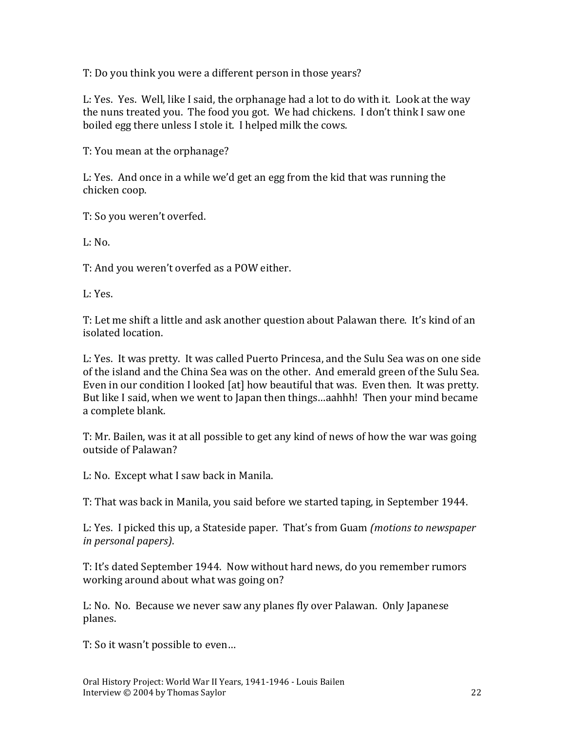T: Do you think you were a different person in those years?

L: Yes. Yes. Well, like I said, the orphanage had a lot to do with it. Look at the way the nuns treated you. The food you got. We had chickens. I don't think I saw one boiled egg there unless I stole it. I helped milk the cows.

T: You mean at the orphanage?

L: Yes. And once in a while we'd get an egg from the kid that was running the chicken coop.

T: So you weren't overfed.

 $L: N<sub>0</sub>$ 

T: And you weren't overfed as a POW either.

L: Yes.

T: Let me shift a little and ask another question about Palawan there. It's kind of an isolated location.

L: Yes. It was pretty. It was called Puerto Princesa, and the Sulu Sea was on one side of the island and the China Sea was on the other. And emerald green of the Sulu Sea. Even in our condition I looked [at] how beautiful that was. Even then. It was pretty. But like I said, when we went to Japan then things…aahhh! Then your mind became a complete blank.

T: Mr. Bailen, was it at all possible to get any kind of news of how the war was going outside of Palawan?

L: No. Except what I saw back in Manila.

T: That was back in Manila, you said before we started taping, in September 1944.

L: Yes. I picked this up, a Stateside paper. That's from Guam *(motions to newspaper in personal papers)*.

T: It's dated September 1944. Now without hard news, do you remember rumors working around about what was going on?

L: No. No. Because we never saw any planes fly over Palawan. Only Japanese planes.

T: So it wasn't possible to even…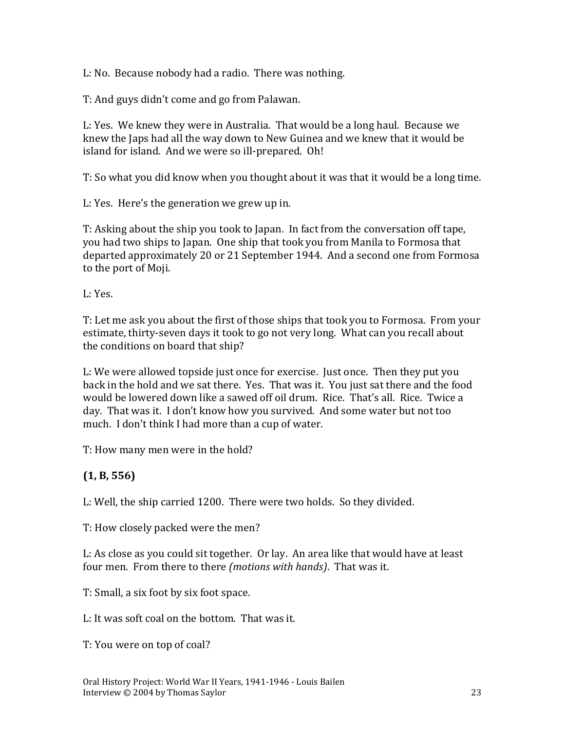L: No. Because nobody had a radio. There was nothing.

T: And guys didn't come and go from Palawan.

L: Yes. We knew they were in Australia. That would be a long haul. Because we knew the Japs had all the way down to New Guinea and we knew that it would be island for island. And we were so ill-prepared. Oh!

T: So what you did know when you thought about it was that it would be a long time.

L: Yes. Here's the generation we grew up in.

T: Asking about the ship you took to Japan. In fact from the conversation off tape, you had two ships to Japan. One ship that took you from Manila to Formosa that departed approximately 20 or 21 September 1944. And a second one from Formosa to the port of Moji.

L: Yes.

T: Let me ask you about the first of those ships that took you to Formosa. From your estimate, thirty-seven days it took to go not very long. What can you recall about the conditions on board that ship?

L: We were allowed topside just once for exercise. Just once. Then they put you back in the hold and we sat there. Yes. That was it. You just sat there and the food would be lowered down like a sawed off oil drum. Rice. That's all. Rice. Twice a day. That was it. I don't know how you survived. And some water but not too much. I don't think I had more than a cup of water.

T: How many men were in the hold?

#### **(1, B, 556)**

L: Well, the ship carried 1200. There were two holds. So they divided.

T: How closely packed were the men?

L: As close as you could sit together. Or lay. An area like that would have at least four men. From there to there *(motions with hands)*. That was it.

T: Small, a six foot by six foot space.

L: It was soft coal on the bottom. That was it.

T: You were on top of coal?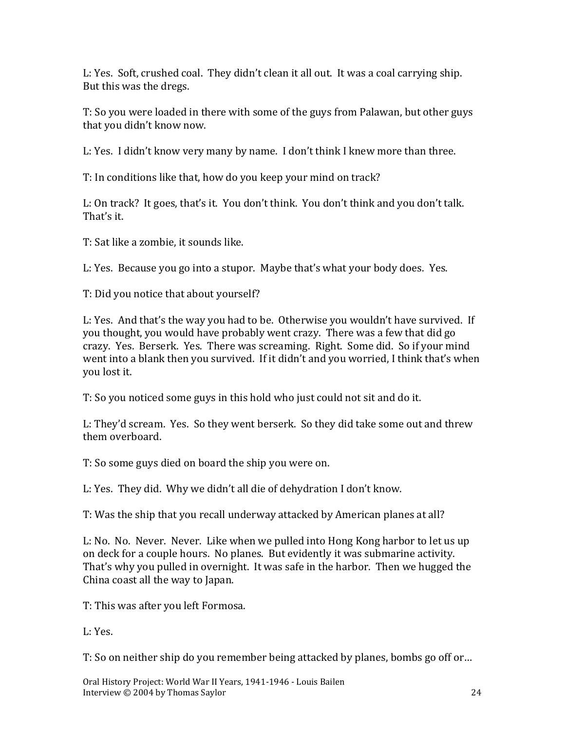L: Yes. Soft, crushed coal. They didn't clean it all out. It was a coal carrying ship. But this was the dregs.

T: So you were loaded in there with some of the guys from Palawan, but other guys that you didn't know now.

L: Yes. I didn't know very many by name. I don't think I knew more than three.

T: In conditions like that, how do you keep your mind on track?

L: On track? It goes, that's it. You don't think. You don't think and you don't talk. That's it.

T: Sat like a zombie, it sounds like.

L: Yes. Because you go into a stupor. Maybe that's what your body does. Yes.

T: Did you notice that about yourself?

L: Yes. And that's the way you had to be. Otherwise you wouldn't have survived. If you thought, you would have probably went crazy. There was a few that did go crazy. Yes. Berserk. Yes. There was screaming. Right. Some did. So if your mind went into a blank then you survived. If it didn't and you worried, I think that's when you lost it.

T: So you noticed some guys in this hold who just could not sit and do it.

L: They'd scream. Yes. So they went berserk. So they did take some out and threw them overboard.

T: So some guys died on board the ship you were on.

L: Yes. They did. Why we didn't all die of dehydration I don't know.

T: Was the ship that you recall underway attacked by American planes at all?

L: No. No. Never. Never. Like when we pulled into Hong Kong harbor to let us up on deck for a couple hours. No planes. But evidently it was submarine activity. That's why you pulled in overnight. It was safe in the harbor. Then we hugged the China coast all the way to Japan.

T: This was after you left Formosa.

L: Yes.

T: So on neither ship do you remember being attacked by planes, bombs go off or…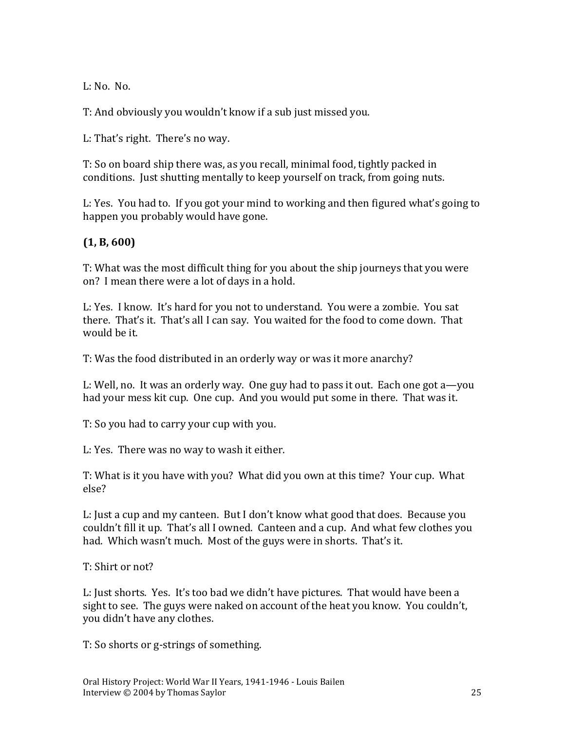L: No. No.

T: And obviously you wouldn't know if a sub just missed you.

L: That's right. There's no way.

T: So on board ship there was, as you recall, minimal food, tightly packed in conditions. Just shutting mentally to keep yourself on track, from going nuts.

L: Yes. You had to. If you got your mind to working and then figured what's going to happen you probably would have gone.

#### **(1, B, 600)**

T: What was the most difficult thing for you about the ship journeys that you were on? I mean there were a lot of days in a hold.

L: Yes. I know. It's hard for you not to understand. You were a zombie. You sat there. That's it. That's all I can say. You waited for the food to come down. That would be it.

T: Was the food distributed in an orderly way or was it more anarchy?

L: Well, no. It was an orderly way. One guy had to pass it out. Each one got a—you had your mess kit cup. One cup. And you would put some in there. That was it.

T: So you had to carry your cup with you.

L: Yes. There was no way to wash it either.

T: What is it you have with you? What did you own at this time? Your cup. What else?

L: Just a cup and my canteen. But I don't know what good that does. Because you couldn't fill it up. That's all I owned. Canteen and a cup. And what few clothes you had. Which wasn't much. Most of the guys were in shorts. That's it.

T: Shirt or not?

L: Just shorts. Yes. It's too bad we didn't have pictures. That would have been a sight to see. The guys were naked on account of the heat you know. You couldn't, you didn't have any clothes.

T: So shorts or g-strings of something.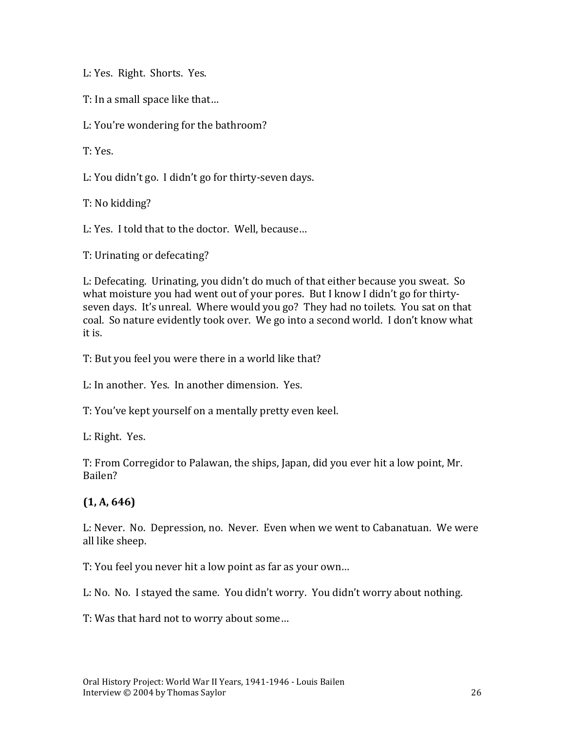L: Yes. Right. Shorts. Yes.

T: In a small space like that…

L: You're wondering for the bathroom?

T: Yes.

L: You didn't go. I didn't go for thirty-seven days.

T: No kidding?

L: Yes. I told that to the doctor. Well, because…

T: Urinating or defecating?

L: Defecating. Urinating, you didn't do much of that either because you sweat. So what moisture you had went out of your pores. But I know I didn't go for thirtyseven days. It's unreal. Where would you go? They had no toilets. You sat on that coal. So nature evidently took over. We go into a second world. I don't know what it is.

T: But you feel you were there in a world like that?

L: In another. Yes. In another dimension. Yes.

T: You've kept yourself on a mentally pretty even keel.

L: Right. Yes.

T: From Corregidor to Palawan, the ships, Japan, did you ever hit a low point, Mr. Bailen?

#### **(1, A, 646)**

L: Never. No. Depression, no. Never. Even when we went to Cabanatuan. We were all like sheep.

T: You feel you never hit a low point as far as your own…

L: No. No. I stayed the same. You didn't worry. You didn't worry about nothing.

T: Was that hard not to worry about some…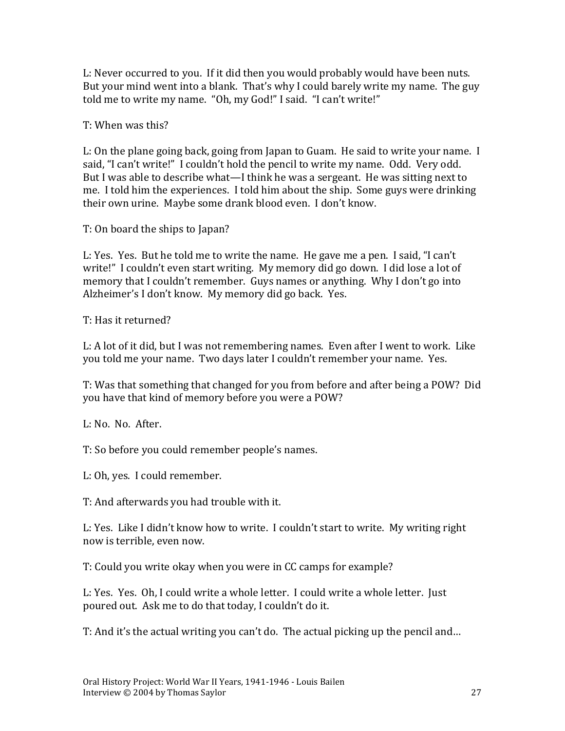L: Never occurred to you. If it did then you would probably would have been nuts. But your mind went into a blank. That's why I could barely write my name. The guy told me to write my name. "Oh, my God!" I said. "I can't write!"

T: When was this?

L: On the plane going back, going from Japan to Guam. He said to write your name. I said, "I can't write!" I couldn't hold the pencil to write my name. Odd. Very odd. But I was able to describe what—I think he was a sergeant. He was sitting next to me. I told him the experiences. I told him about the ship. Some guys were drinking their own urine. Maybe some drank blood even. I don't know.

T: On board the ships to Japan?

L: Yes. Yes. But he told me to write the name. He gave me a pen. I said, "I can't write!" I couldn't even start writing. My memory did go down. I did lose a lot of memory that I couldn't remember. Guys names or anything. Why I don't go into Alzheimer's I don't know. My memory did go back. Yes.

T: Has it returned?

L: A lot of it did, but I was not remembering names. Even after I went to work. Like you told me your name. Two days later I couldn't remember your name. Yes.

T: Was that something that changed for you from before and after being a POW? Did you have that kind of memory before you were a POW?

L: No. No. After.

T: So before you could remember people's names.

L: Oh, yes. I could remember.

T: And afterwards you had trouble with it.

L: Yes. Like I didn't know how to write. I couldn't start to write. My writing right now is terrible, even now.

T: Could you write okay when you were in CC camps for example?

L: Yes. Yes. Oh, I could write a whole letter. I could write a whole letter. Just poured out. Ask me to do that today, I couldn't do it.

T: And it's the actual writing you can't do. The actual picking up the pencil and…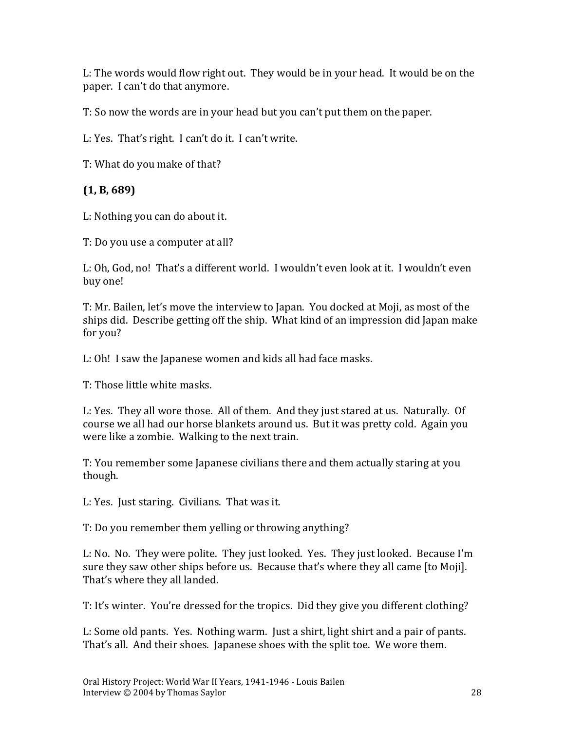L: The words would flow right out. They would be in your head. It would be on the paper. I can't do that anymore.

T: So now the words are in your head but you can't put them on the paper.

L: Yes. That's right. I can't do it. I can't write.

T: What do you make of that?

#### **(1, B, 689)**

L: Nothing you can do about it.

T: Do you use a computer at all?

L: Oh, God, no! That's a different world. I wouldn't even look at it. I wouldn't even buy one!

T: Mr. Bailen, let's move the interview to Japan. You docked at Moji, as most of the ships did. Describe getting off the ship. What kind of an impression did Japan make for you?

L: Oh! I saw the Japanese women and kids all had face masks.

T: Those little white masks.

L: Yes. They all wore those. All of them. And they just stared at us. Naturally. Of course we all had our horse blankets around us. But it was pretty cold. Again you were like a zombie. Walking to the next train.

T: You remember some Japanese civilians there and them actually staring at you though.

L: Yes. Just staring. Civilians. That was it.

T: Do you remember them yelling or throwing anything?

L: No. No. They were polite. They just looked. Yes. They just looked. Because I'm sure they saw other ships before us. Because that's where they all came [to Moji]. That's where they all landed.

T: It's winter. You're dressed for the tropics. Did they give you different clothing?

L: Some old pants. Yes. Nothing warm. Just a shirt, light shirt and a pair of pants. That's all. And their shoes. Japanese shoes with the split toe. We wore them.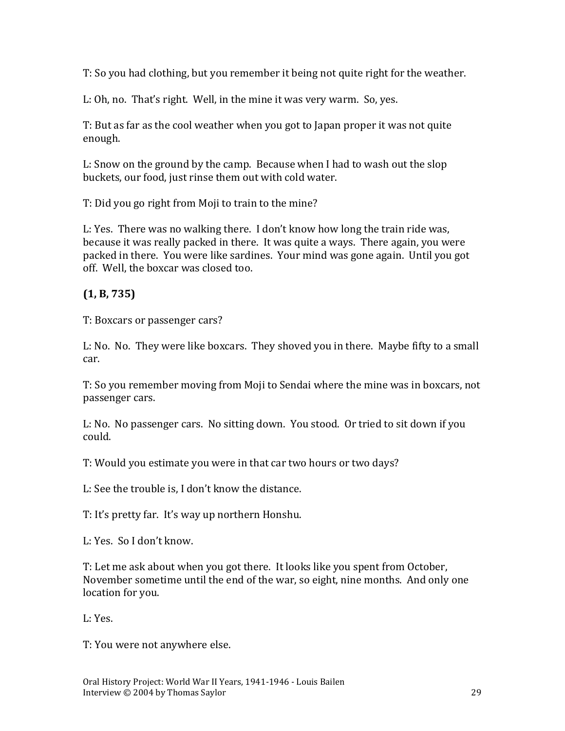T: So you had clothing, but you remember it being not quite right for the weather.

L: Oh, no. That's right. Well, in the mine it was very warm. So, yes.

T: But as far as the cool weather when you got to Japan proper it was not quite enough.

L: Snow on the ground by the camp. Because when I had to wash out the slop buckets, our food, just rinse them out with cold water.

T: Did you go right from Moji to train to the mine?

L: Yes. There was no walking there. I don't know how long the train ride was, because it was really packed in there. It was quite a ways. There again, you were packed in there. You were like sardines. Your mind was gone again. Until you got off. Well, the boxcar was closed too.

#### **(1, B, 735)**

T: Boxcars or passenger cars?

L: No. No. They were like boxcars. They shoved you in there. Maybe fifty to a small car.

T: So you remember moving from Moji to Sendai where the mine was in boxcars, not passenger cars.

L: No. No passenger cars. No sitting down. You stood. Or tried to sit down if you could.

T: Would you estimate you were in that car two hours or two days?

L: See the trouble is, I don't know the distance.

T: It's pretty far. It's way up northern Honshu.

L: Yes. So I don't know.

T: Let me ask about when you got there. It looks like you spent from October, November sometime until the end of the war, so eight, nine months. And only one location for you.

L: Yes.

T: You were not anywhere else.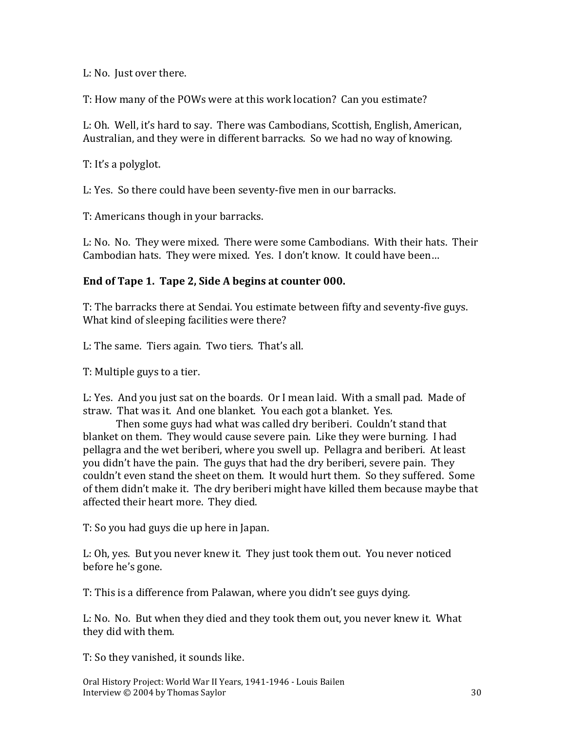L: No. Just over there.

T: How many of the POWs were at this work location? Can you estimate?

L: Oh. Well, it's hard to say. There was Cambodians, Scottish, English, American, Australian, and they were in different barracks. So we had no way of knowing.

T: It's a polyglot.

L: Yes. So there could have been seventy-five men in our barracks.

T: Americans though in your barracks.

L: No. No. They were mixed. There were some Cambodians. With their hats. Their Cambodian hats. They were mixed. Yes. I don't know. It could have been…

#### **End of Tape 1. Tape 2, Side A begins at counter 000.**

T: The barracks there at Sendai. You estimate between fifty and seventy-five guys. What kind of sleeping facilities were there?

L: The same. Tiers again. Two tiers. That's all.

T: Multiple guys to a tier.

L: Yes. And you just sat on the boards. Or I mean laid. With a small pad. Made of straw. That was it. And one blanket. You each got a blanket. Yes.

Then some guys had what was called dry beriberi. Couldn't stand that blanket on them. They would cause severe pain. Like they were burning. I had pellagra and the wet beriberi, where you swell up. Pellagra and beriberi. At least you didn't have the pain. The guys that had the dry beriberi, severe pain. They couldn't even stand the sheet on them. It would hurt them. So they suffered. Some of them didn't make it. The dry beriberi might have killed them because maybe that affected their heart more. They died.

T: So you had guys die up here in Japan.

L: Oh, yes. But you never knew it. They just took them out. You never noticed before he's gone.

T: This is a difference from Palawan, where you didn't see guys dying.

L: No. No. But when they died and they took them out, you never knew it. What they did with them.

T: So they vanished, it sounds like.

Oral History Project: World War II Years, 1941-1946 - Louis Bailen Interview © 2004 by Thomas Saylor 30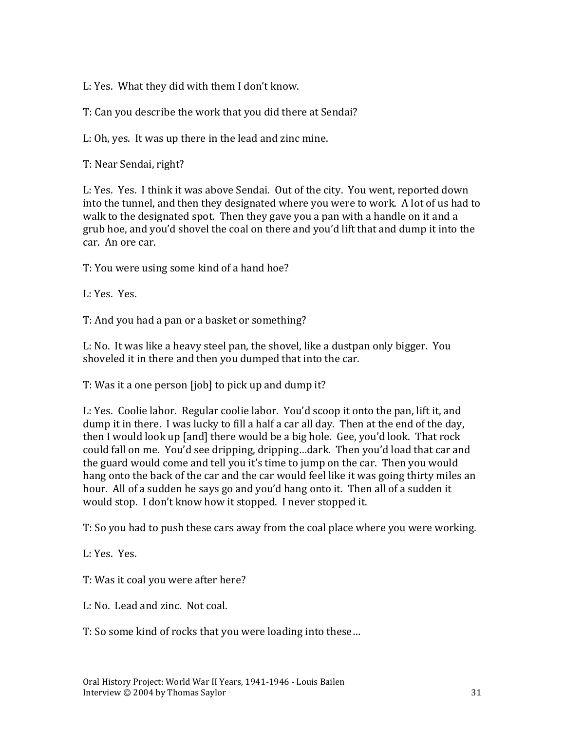L: Yes. What they did with them I don't know.

T: Can you describe the work that you did there at Sendai?

L: Oh, yes. It was up there in the lead and zinc mine.

T: Near Sendai, right?

L: Yes. Yes. I think it was above Sendai. Out of the city. You went, reported down into the tunnel, and then they designated where you were to work. A lot of us had to walk to the designated spot. Then they gave you a pan with a handle on it and a grub hoe, and you'd shovel the coal on there and you'd lift that and dump it into the car. An ore car.

T: You were using some kind of a hand hoe?

L: Yes. Yes.

T: And you had a pan or a basket or something?

L: No. It was like a heavy steel pan, the shovel, like a dustpan only bigger. You shoveled it in there and then you dumped that into the car.

T: Was it a one person [job] to pick up and dump it?

L: Yes. Coolie labor. Regular coolie labor. You'd scoop it onto the pan, lift it, and dump it in there. I was lucky to fill a half a car all day. Then at the end of the day, then I would look up [and] there would be a big hole. Gee, you'd look. That rock could fall on me. You'd see dripping, dripping…dark. Then you'd load that car and the guard would come and tell you it's time to jump on the car. Then you would hang onto the back of the car and the car would feel like it was going thirty miles an hour. All of a sudden he says go and you'd hang onto it. Then all of a sudden it would stop. I don't know how it stopped. I never stopped it.

T: So you had to push these cars away from the coal place where you were working.

L: Yes. Yes.

T: Was it coal you were after here?

L: No. Lead and zinc. Not coal.

T: So some kind of rocks that you were loading into these…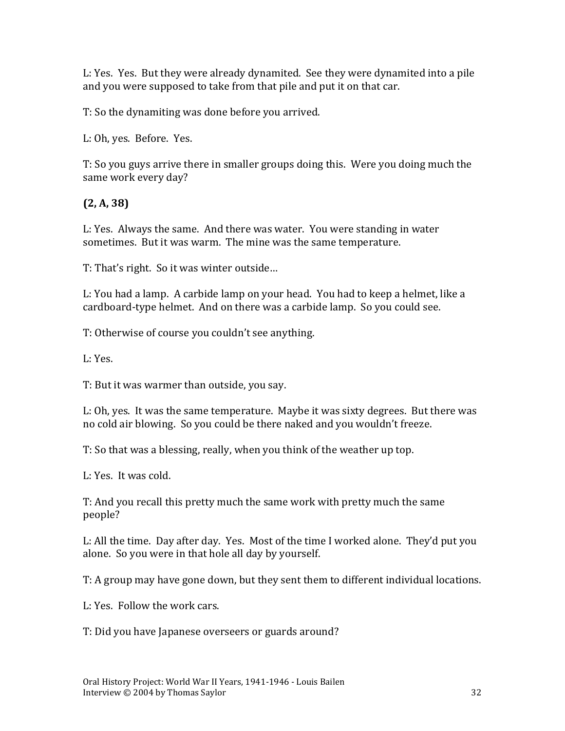L: Yes. Yes. But they were already dynamited. See they were dynamited into a pile and you were supposed to take from that pile and put it on that car.

T: So the dynamiting was done before you arrived.

L: Oh, yes. Before. Yes.

T: So you guys arrive there in smaller groups doing this. Were you doing much the same work every day?

### **(2, A, 38)**

L: Yes. Always the same. And there was water. You were standing in water sometimes. But it was warm. The mine was the same temperature.

T: That's right. So it was winter outside…

L: You had a lamp. A carbide lamp on your head. You had to keep a helmet, like a cardboard-type helmet. And on there was a carbide lamp. So you could see.

T: Otherwise of course you couldn't see anything.

L: Yes.

T: But it was warmer than outside, you say.

L: Oh, yes. It was the same temperature. Maybe it was sixty degrees. But there was no cold air blowing. So you could be there naked and you wouldn't freeze.

T: So that was a blessing, really, when you think of the weather up top.

L: Yes. It was cold.

T: And you recall this pretty much the same work with pretty much the same people?

L: All the time. Day after day. Yes. Most of the time I worked alone. They'd put you alone. So you were in that hole all day by yourself.

T: A group may have gone down, but they sent them to different individual locations.

L: Yes. Follow the work cars.

T: Did you have Japanese overseers or guards around?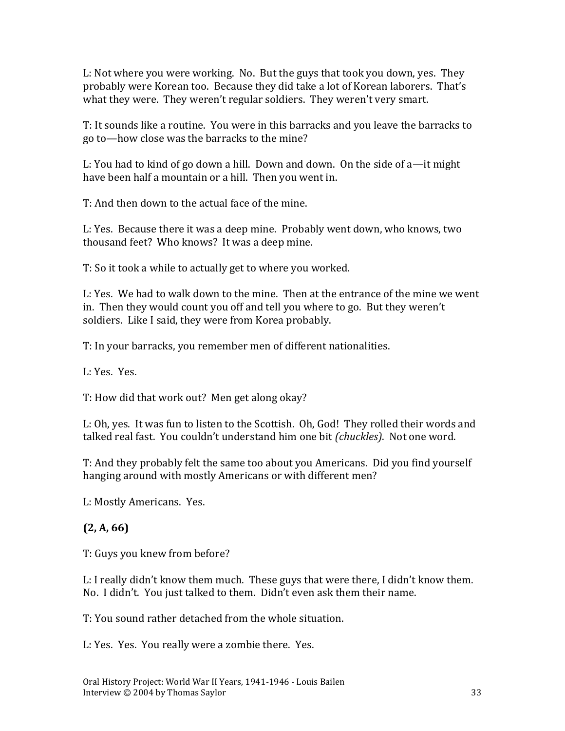L: Not where you were working. No. But the guys that took you down, yes. They probably were Korean too. Because they did take a lot of Korean laborers. That's what they were. They weren't regular soldiers. They weren't very smart.

T: It sounds like a routine. You were in this barracks and you leave the barracks to go to—how close was the barracks to the mine?

L: You had to kind of go down a hill. Down and down. On the side of a—it might have been half a mountain or a hill. Then you went in.

T: And then down to the actual face of the mine.

L: Yes. Because there it was a deep mine. Probably went down, who knows, two thousand feet? Who knows? It was a deep mine.

T: So it took a while to actually get to where you worked.

L: Yes. We had to walk down to the mine. Then at the entrance of the mine we went in. Then they would count you off and tell you where to go. But they weren't soldiers. Like I said, they were from Korea probably.

T: In your barracks, you remember men of different nationalities.

L: Yes. Yes.

T: How did that work out? Men get along okay?

L: Oh, yes. It was fun to listen to the Scottish. Oh, God! They rolled their words and talked real fast. You couldn't understand him one bit *(chuckles)*. Not one word.

T: And they probably felt the same too about you Americans. Did you find yourself hanging around with mostly Americans or with different men?

L: Mostly Americans. Yes.

# **(2, A, 66)**

T: Guys you knew from before?

L: I really didn't know them much. These guys that were there, I didn't know them. No. I didn't. You just talked to them. Didn't even ask them their name.

T: You sound rather detached from the whole situation.

L: Yes. Yes. You really were a zombie there. Yes.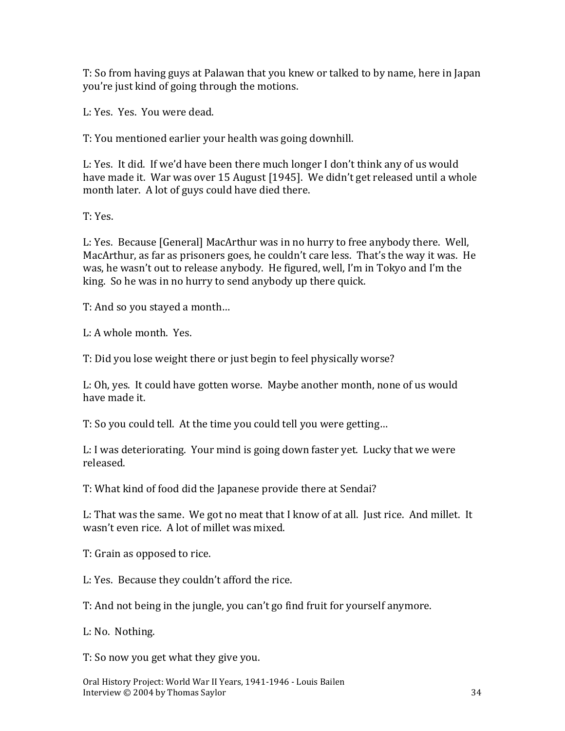T: So from having guys at Palawan that you knew or talked to by name, here in Japan you're just kind of going through the motions.

L: Yes. Yes. You were dead.

T: You mentioned earlier your health was going downhill.

L: Yes. It did. If we'd have been there much longer I don't think any of us would have made it. War was over 15 August [1945]. We didn't get released until a whole month later. A lot of guys could have died there.

T: Yes.

L: Yes. Because [General] MacArthur was in no hurry to free anybody there. Well, MacArthur, as far as prisoners goes, he couldn't care less. That's the way it was. He was, he wasn't out to release anybody. He figured, well, I'm in Tokyo and I'm the king. So he was in no hurry to send anybody up there quick.

T: And so you stayed a month…

L: A whole month. Yes.

T: Did you lose weight there or just begin to feel physically worse?

L: Oh, yes. It could have gotten worse. Maybe another month, none of us would have made it.

T: So you could tell. At the time you could tell you were getting…

L: I was deteriorating. Your mind is going down faster yet. Lucky that we were released.

T: What kind of food did the Japanese provide there at Sendai?

L: That was the same. We got no meat that I know of at all. Just rice. And millet. It wasn't even rice. A lot of millet was mixed.

T: Grain as opposed to rice.

L: Yes. Because they couldn't afford the rice.

T: And not being in the jungle, you can't go find fruit for yourself anymore.

L: No. Nothing.

T: So now you get what they give you.

Oral History Project: World War II Years, 1941-1946 - Louis Bailen Interview © 2004 by Thomas Saylor 34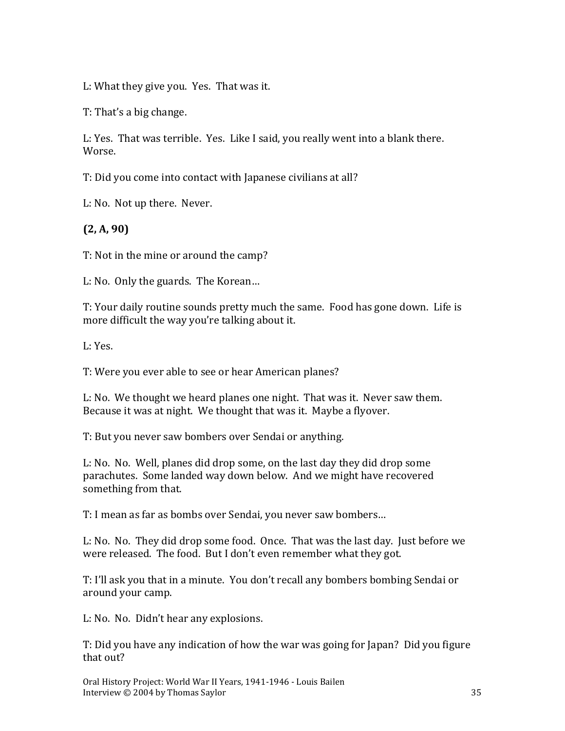L: What they give you. Yes. That was it.

T: That's a big change.

L: Yes. That was terrible. Yes. Like I said, you really went into a blank there. Worse.

T: Did you come into contact with Japanese civilians at all?

L: No. Not up there. Never.

**(2, A, 90)**

T: Not in the mine or around the camp?

L: No. Only the guards. The Korean…

T: Your daily routine sounds pretty much the same. Food has gone down. Life is more difficult the way you're talking about it.

L: Yes.

T: Were you ever able to see or hear American planes?

L: No. We thought we heard planes one night. That was it. Never saw them. Because it was at night. We thought that was it. Maybe a flyover.

T: But you never saw bombers over Sendai or anything.

L: No. No. Well, planes did drop some, on the last day they did drop some parachutes. Some landed way down below. And we might have recovered something from that.

T: I mean as far as bombs over Sendai, you never saw bombers…

L: No. No. They did drop some food. Once. That was the last day. Just before we were released. The food. But I don't even remember what they got.

T: I'll ask you that in a minute. You don't recall any bombers bombing Sendai or around your camp.

L: No. No. Didn't hear any explosions.

T: Did you have any indication of how the war was going for Japan? Did you figure that out?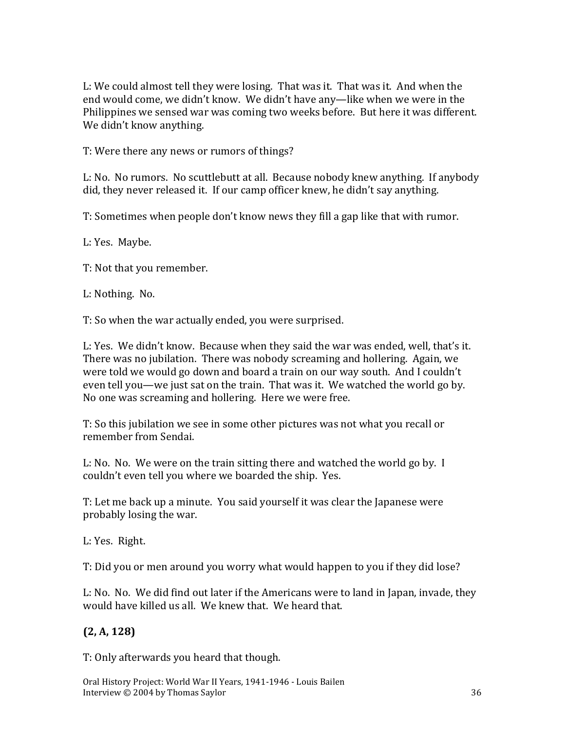L: We could almost tell they were losing. That was it. That was it. And when the end would come, we didn't know. We didn't have any—like when we were in the Philippines we sensed war was coming two weeks before. But here it was different. We didn't know anything.

T: Were there any news or rumors of things?

L: No. No rumors. No scuttlebutt at all. Because nobody knew anything. If anybody did, they never released it. If our camp officer knew, he didn't say anything.

T: Sometimes when people don't know news they fill a gap like that with rumor.

L: Yes. Maybe.

T: Not that you remember.

L: Nothing. No.

T: So when the war actually ended, you were surprised.

L: Yes. We didn't know. Because when they said the war was ended, well, that's it. There was no jubilation. There was nobody screaming and hollering. Again, we were told we would go down and board a train on our way south. And I couldn't even tell you—we just sat on the train. That was it. We watched the world go by. No one was screaming and hollering. Here we were free.

T: So this jubilation we see in some other pictures was not what you recall or remember from Sendai.

L: No. No. We were on the train sitting there and watched the world go by. I couldn't even tell you where we boarded the ship. Yes.

T: Let me back up a minute. You said yourself it was clear the Japanese were probably losing the war.

L: Yes. Right.

T: Did you or men around you worry what would happen to you if they did lose?

L: No. No. We did find out later if the Americans were to land in Japan, invade, they would have killed us all. We knew that. We heard that.

#### **(2, A, 128)**

T: Only afterwards you heard that though.

Oral History Project: World War II Years, 1941-1946 - Louis Bailen Interview © 2004 by Thomas Saylor 36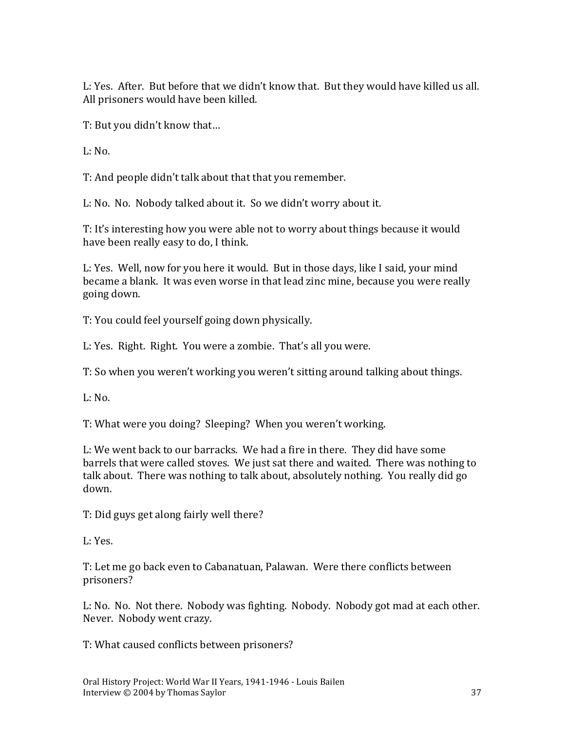L: Yes. After. But before that we didn't know that. But they would have killed us all. All prisoners would have been killed.

T: But you didn't know that…

L: No.

T: And people didn't talk about that that you remember.

L: No. No. Nobody talked about it. So we didn't worry about it.

T: It's interesting how you were able not to worry about things because it would have been really easy to do, I think.

L: Yes. Well, now for you here it would. But in those days, like I said, your mind became a blank. It was even worse in that lead zinc mine, because you were really going down.

T: You could feel yourself going down physically.

L: Yes. Right. Right. You were a zombie. That's all you were.

T: So when you weren't working you weren't sitting around talking about things.

 $L: No.$ 

T: What were you doing? Sleeping? When you weren't working.

L: We went back to our barracks. We had a fire in there. They did have some barrels that were called stoves. We just sat there and waited. There was nothing to talk about. There was nothing to talk about, absolutely nothing. You really did go down.

T: Did guys get along fairly well there?

L: Yes.

T: Let me go back even to Cabanatuan, Palawan. Were there conflicts between prisoners?

L: No. No. Not there. Nobody was fighting. Nobody. Nobody got mad at each other. Never. Nobody went crazy.

T: What caused conflicts between prisoners?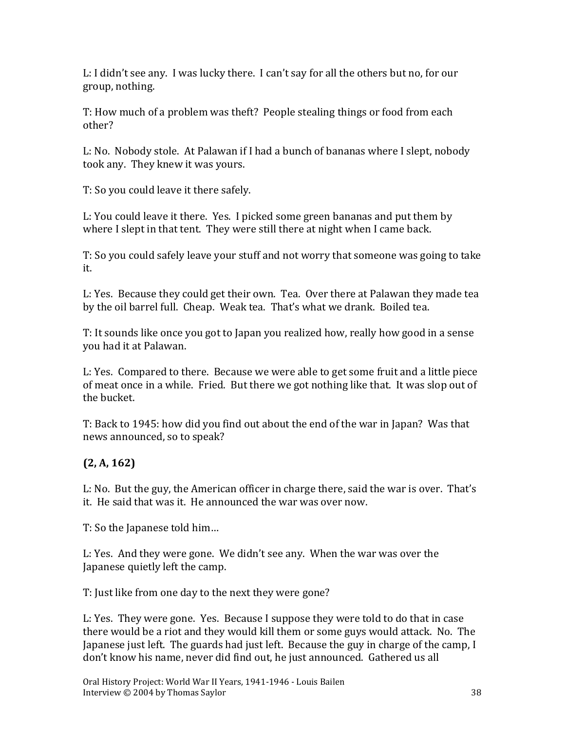L: I didn't see any. I was lucky there. I can't say for all the others but no, for our group, nothing.

T: How much of a problem was theft? People stealing things or food from each other?

L: No. Nobody stole. At Palawan if I had a bunch of bananas where I slept, nobody took any. They knew it was yours.

T: So you could leave it there safely.

L: You could leave it there. Yes. I picked some green bananas and put them by where I slept in that tent. They were still there at night when I came back.

T: So you could safely leave your stuff and not worry that someone was going to take it.

L: Yes. Because they could get their own. Tea. Over there at Palawan they made tea by the oil barrel full. Cheap. Weak tea. That's what we drank. Boiled tea.

T: It sounds like once you got to Japan you realized how, really how good in a sense you had it at Palawan.

L: Yes. Compared to there. Because we were able to get some fruit and a little piece of meat once in a while. Fried. But there we got nothing like that. It was slop out of the bucket.

T: Back to 1945: how did you find out about the end of the war in Japan? Was that news announced, so to speak?

# **(2, A, 162)**

L: No. But the guy, the American officer in charge there, said the war is over. That's it. He said that was it. He announced the war was over now.

T: So the Japanese told him…

L: Yes. And they were gone. We didn't see any. When the war was over the Japanese quietly left the camp.

T: Just like from one day to the next they were gone?

L: Yes. They were gone. Yes. Because I suppose they were told to do that in case there would be a riot and they would kill them or some guys would attack. No. The Japanese just left. The guards had just left. Because the guy in charge of the camp, I don't know his name, never did find out, he just announced. Gathered us all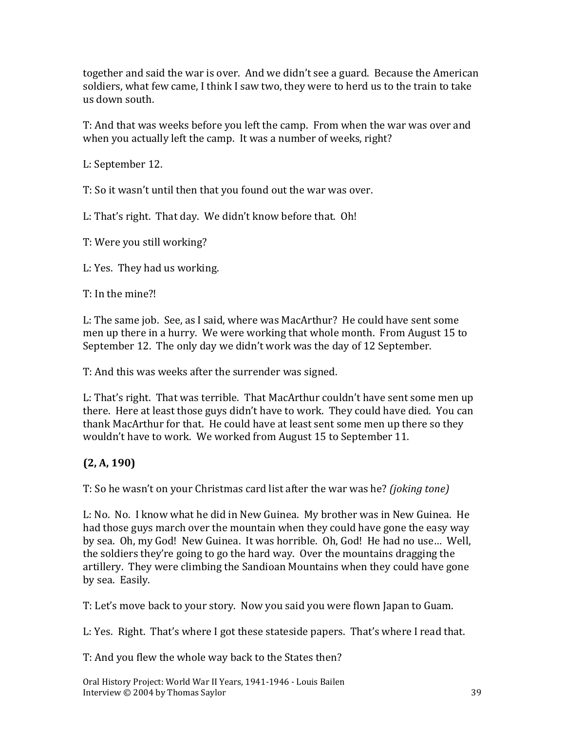together and said the war is over. And we didn't see a guard. Because the American soldiers, what few came, I think I saw two, they were to herd us to the train to take us down south.

T: And that was weeks before you left the camp. From when the war was over and when you actually left the camp. It was a number of weeks, right?

L: September 12.

T: So it wasn't until then that you found out the war was over.

L: That's right. That day. We didn't know before that. Oh!

T: Were you still working?

L: Yes. They had us working.

T: In the mine?!

L: The same job. See, as I said, where was MacArthur? He could have sent some men up there in a hurry. We were working that whole month. From August 15 to September 12. The only day we didn't work was the day of 12 September.

T: And this was weeks after the surrender was signed.

L: That's right. That was terrible. That MacArthur couldn't have sent some men up there. Here at least those guys didn't have to work. They could have died. You can thank MacArthur for that. He could have at least sent some men up there so they wouldn't have to work. We worked from August 15 to September 11.

### **(2, A, 190)**

T: So he wasn't on your Christmas card list after the war was he? *(joking tone)*

L: No. No. I know what he did in New Guinea. My brother was in New Guinea. He had those guys march over the mountain when they could have gone the easy way by sea. Oh, my God! New Guinea. It was horrible. Oh, God! He had no use… Well, the soldiers they're going to go the hard way. Over the mountains dragging the artillery. They were climbing the Sandioan Mountains when they could have gone by sea. Easily.

T: Let's move back to your story. Now you said you were flown Japan to Guam.

L: Yes. Right. That's where I got these stateside papers. That's where I read that.

T: And you flew the whole way back to the States then?

Oral History Project: World War II Years, 1941-1946 - Louis Bailen Interview © 2004 by Thomas Saylor 39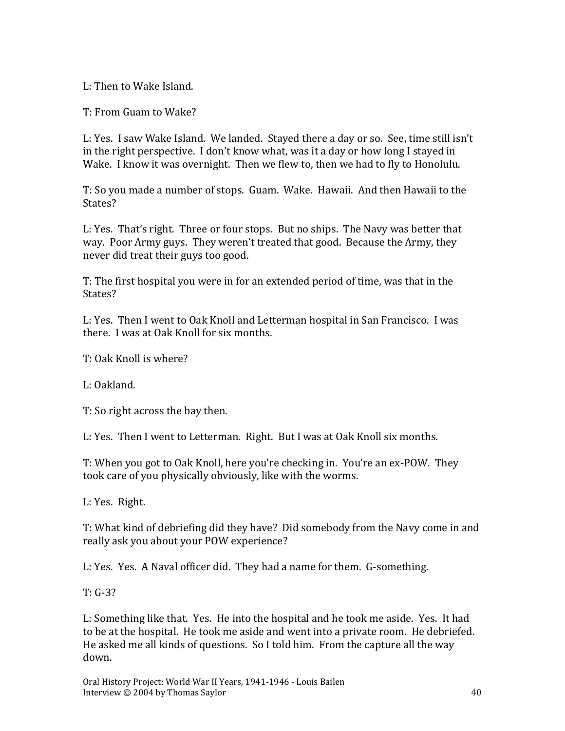L: Then to Wake Island.

T: From Guam to Wake?

L: Yes. I saw Wake Island. We landed. Stayed there a day or so. See, time still isn't in the right perspective. I don't know what, was it a day or how long I stayed in Wake. I know it was overnight. Then we flew to, then we had to fly to Honolulu.

T: So you made a number of stops. Guam. Wake. Hawaii. And then Hawaii to the States?

L: Yes. That's right. Three or four stops. But no ships. The Navy was better that way. Poor Army guys. They weren't treated that good. Because the Army, they never did treat their guys too good.

T: The first hospital you were in for an extended period of time, was that in the States?

L: Yes. Then I went to Oak Knoll and Letterman hospital in San Francisco. I was there. I was at Oak Knoll for six months.

T: Oak Knoll is where?

L: Oakland.

T: So right across the bay then.

L: Yes. Then I went to Letterman. Right. But I was at Oak Knoll six months.

T: When you got to Oak Knoll, here you're checking in. You're an ex-POW. They took care of you physically obviously, like with the worms.

L: Yes. Right.

T: What kind of debriefing did they have? Did somebody from the Navy come in and really ask you about your POW experience?

L: Yes. Yes. A Naval officer did. They had a name for them. G-something.

T: G-3?

L: Something like that. Yes. He into the hospital and he took me aside. Yes. It had to be at the hospital. He took me aside and went into a private room. He debriefed. He asked me all kinds of questions. So I told him. From the capture all the way down.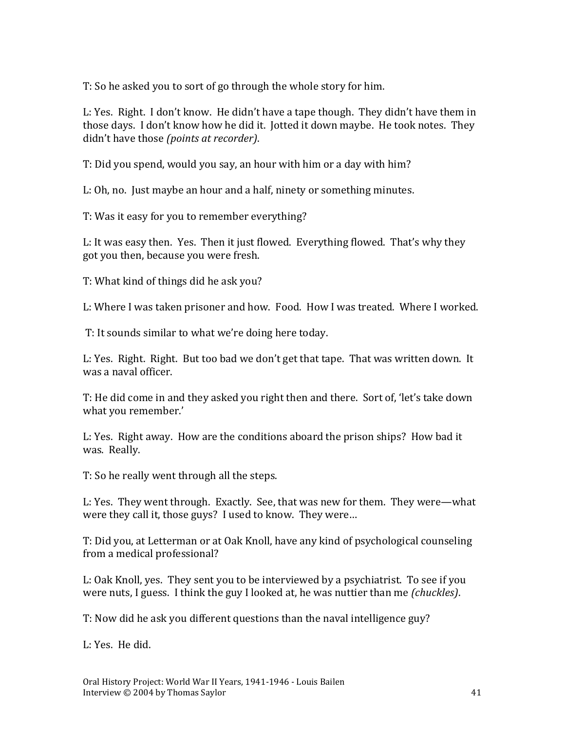T: So he asked you to sort of go through the whole story for him.

L: Yes. Right. I don't know. He didn't have a tape though. They didn't have them in those days. I don't know how he did it. Jotted it down maybe. He took notes. They didn't have those *(points at recorder)*.

T: Did you spend, would you say, an hour with him or a day with him?

L: Oh, no. Just maybe an hour and a half, ninety or something minutes.

T: Was it easy for you to remember everything?

L: It was easy then. Yes. Then it just flowed. Everything flowed. That's why they got you then, because you were fresh.

T: What kind of things did he ask you?

L: Where I was taken prisoner and how. Food. How I was treated. Where I worked.

T: It sounds similar to what we're doing here today.

L: Yes. Right. Right. But too bad we don't get that tape. That was written down. It was a naval officer.

T: He did come in and they asked you right then and there. Sort of, 'let's take down what you remember.'

L: Yes. Right away. How are the conditions aboard the prison ships? How bad it was. Really.

T: So he really went through all the steps.

L: Yes. They went through. Exactly. See, that was new for them. They were—what were they call it, those guys? I used to know. They were…

T: Did you, at Letterman or at Oak Knoll, have any kind of psychological counseling from a medical professional?

L: Oak Knoll, yes. They sent you to be interviewed by a psychiatrist. To see if you were nuts, I guess. I think the guy I looked at, he was nuttier than me *(chuckles)*.

T: Now did he ask you different questions than the naval intelligence guy?

L: Yes. He did.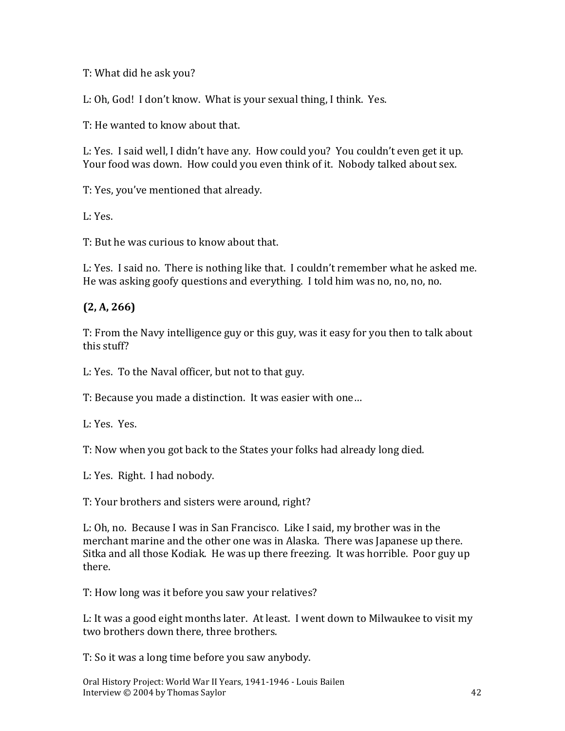T: What did he ask you?

L: Oh, God! I don't know. What is your sexual thing, I think. Yes.

T: He wanted to know about that.

L: Yes. I said well, I didn't have any. How could you? You couldn't even get it up. Your food was down. How could you even think of it. Nobody talked about sex.

T: Yes, you've mentioned that already.

L: Yes.

T: But he was curious to know about that.

L: Yes. I said no. There is nothing like that. I couldn't remember what he asked me. He was asking goofy questions and everything. I told him was no, no, no, no.

### **(2, A, 266)**

T: From the Navy intelligence guy or this guy, was it easy for you then to talk about this stuff?

L: Yes. To the Naval officer, but not to that guy.

T: Because you made a distinction. It was easier with one…

L: Yes. Yes.

T: Now when you got back to the States your folks had already long died.

L: Yes. Right. I had nobody.

T: Your brothers and sisters were around, right?

L: Oh, no. Because I was in San Francisco. Like I said, my brother was in the merchant marine and the other one was in Alaska. There was Japanese up there. Sitka and all those Kodiak. He was up there freezing. It was horrible. Poor guy up there.

T: How long was it before you saw your relatives?

L: It was a good eight months later. At least. I went down to Milwaukee to visit my two brothers down there, three brothers.

T: So it was a long time before you saw anybody.

Oral History Project: World War II Years, 1941-1946 - Louis Bailen Interview © 2004 by Thomas Saylor 42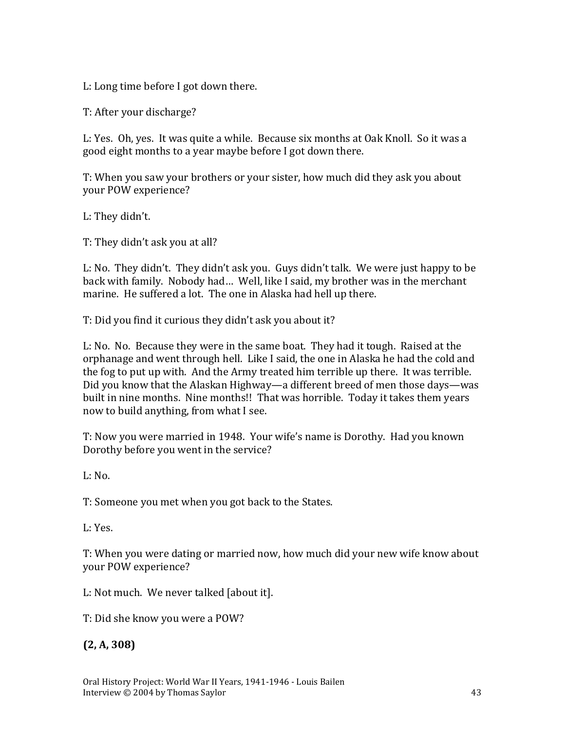L: Long time before I got down there.

T: After your discharge?

L: Yes. Oh, yes. It was quite a while. Because six months at Oak Knoll. So it was a good eight months to a year maybe before I got down there.

T: When you saw your brothers or your sister, how much did they ask you about your POW experience?

L: They didn't.

T: They didn't ask you at all?

L: No. They didn't. They didn't ask you. Guys didn't talk. We were just happy to be back with family. Nobody had… Well, like I said, my brother was in the merchant marine. He suffered a lot. The one in Alaska had hell up there.

T: Did you find it curious they didn't ask you about it?

L: No. No. Because they were in the same boat. They had it tough. Raised at the orphanage and went through hell. Like I said, the one in Alaska he had the cold and the fog to put up with. And the Army treated him terrible up there. It was terrible. Did you know that the Alaskan Highway—a different breed of men those days—was built in nine months. Nine months!! That was horrible. Today it takes them years now to build anything, from what I see.

T: Now you were married in 1948. Your wife's name is Dorothy. Had you known Dorothy before you went in the service?

L: No.

T: Someone you met when you got back to the States.

L: Yes.

T: When you were dating or married now, how much did your new wife know about your POW experience?

L: Not much. We never talked [about it].

T: Did she know you were a POW?

**(2, A, 308)**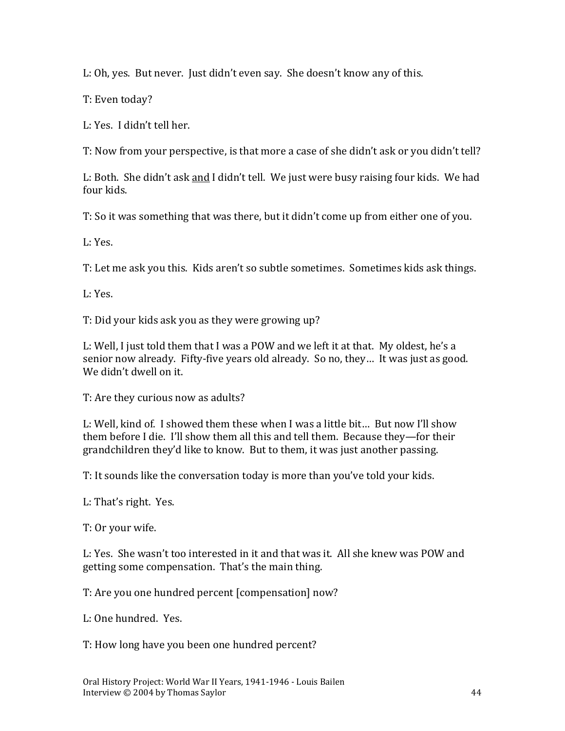L: Oh, yes. But never. Just didn't even say. She doesn't know any of this.

T: Even today?

L: Yes. I didn't tell her.

T: Now from your perspective, is that more a case of she didn't ask or you didn't tell?

L: Both. She didn't ask and I didn't tell. We just were busy raising four kids. We had four kids.

T: So it was something that was there, but it didn't come up from either one of you.

L: Yes.

T: Let me ask you this. Kids aren't so subtle sometimes. Sometimes kids ask things.

L: Yes.

T: Did your kids ask you as they were growing up?

L: Well, I just told them that I was a POW and we left it at that. My oldest, he's a senior now already. Fifty-five years old already. So no, they… It was just as good. We didn't dwell on it.

T: Are they curious now as adults?

L: Well, kind of. I showed them these when I was a little bit… But now I'll show them before I die. I'll show them all this and tell them. Because they—for their grandchildren they'd like to know. But to them, it was just another passing.

T: It sounds like the conversation today is more than you've told your kids.

L: That's right. Yes.

T: Or your wife.

L: Yes. She wasn't too interested in it and that was it. All she knew was POW and getting some compensation. That's the main thing.

T: Are you one hundred percent [compensation] now?

L: One hundred. Yes.

T: How long have you been one hundred percent?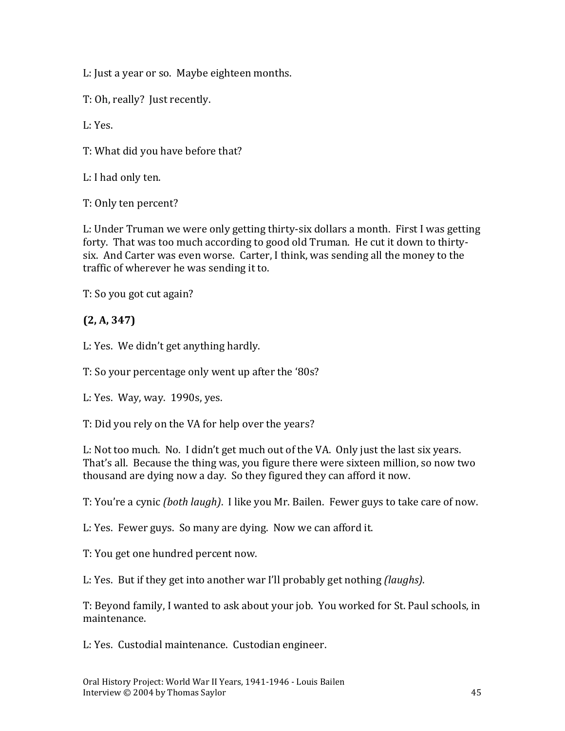L: Just a year or so. Maybe eighteen months.

T: Oh, really? Just recently.

 $L: Y_{PS}$ 

T: What did you have before that?

L: I had only ten.

T: Only ten percent?

L: Under Truman we were only getting thirty-six dollars a month. First I was getting forty. That was too much according to good old Truman. He cut it down to thirtysix. And Carter was even worse. Carter, I think, was sending all the money to the traffic of wherever he was sending it to.

T: So you got cut again?

#### **(2, A, 347)**

L: Yes. We didn't get anything hardly.

T: So your percentage only went up after the '80s?

L: Yes. Way, way. 1990s, yes.

T: Did you rely on the VA for help over the years?

L: Not too much. No. I didn't get much out of the VA. Only just the last six years. That's all. Because the thing was, you figure there were sixteen million, so now two thousand are dying now a day. So they figured they can afford it now.

T: You're a cynic *(both laugh)*. I like you Mr. Bailen. Fewer guys to take care of now.

L: Yes. Fewer guys. So many are dying. Now we can afford it.

T: You get one hundred percent now.

L: Yes. But if they get into another war I'll probably get nothing *(laughs)*.

T: Beyond family, I wanted to ask about your job. You worked for St. Paul schools, in maintenance.

L: Yes. Custodial maintenance. Custodian engineer.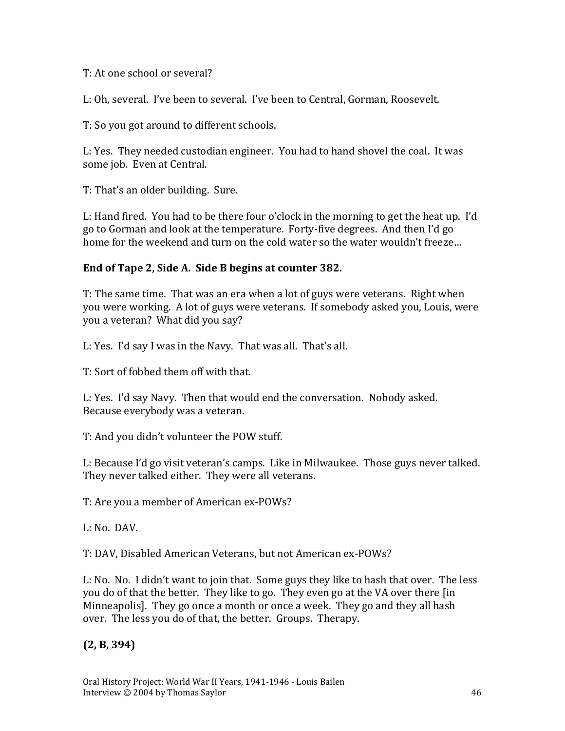T: At one school or several?

L: Oh, several. I've been to several. I've been to Central, Gorman, Roosevelt.

T: So you got around to different schools.

L: Yes. They needed custodian engineer. You had to hand shovel the coal. It was some job. Even at Central.

T: That's an older building. Sure.

L: Hand fired. You had to be there four o'clock in the morning to get the heat up. I'd go to Gorman and look at the temperature. Forty-five degrees. And then I'd go home for the weekend and turn on the cold water so the water wouldn't freeze…

#### **End of Tape 2, Side A. Side B begins at counter 382.**

T: The same time. That was an era when a lot of guys were veterans. Right when you were working. A lot of guys were veterans. If somebody asked you, Louis, were you a veteran? What did you say?

L: Yes. I'd say I was in the Navy. That was all. That's all.

T: Sort of fobbed them off with that.

L: Yes. I'd say Navy. Then that would end the conversation. Nobody asked. Because everybody was a veteran.

T: And you didn't volunteer the POW stuff.

L: Because I'd go visit veteran's camps. Like in Milwaukee. Those guys never talked. They never talked either. They were all veterans.

T: Are you a member of American ex-POWs?

L: No. DAV.

T: DAV, Disabled American Veterans, but not American ex-POWs?

L: No. No. I didn't want to join that. Some guys they like to hash that over. The less you do of that the better. They like to go. They even go at the VA over there [in Minneapolis]. They go once a month or once a week. They go and they all hash over. The less you do of that, the better. Groups. Therapy.

**(2, B, 394)**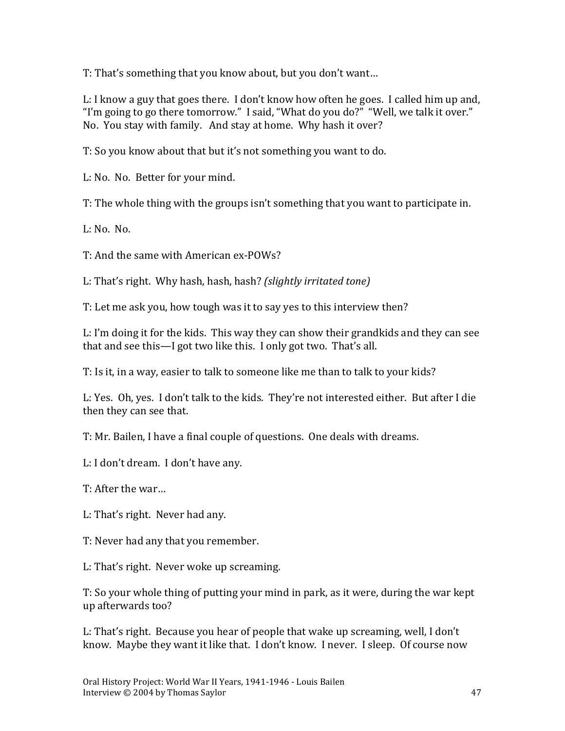T: That's something that you know about, but you don't want…

L: I know a guy that goes there. I don't know how often he goes. I called him up and, "I'm going to go there tomorrow." I said, "What do you do?" "Well, we talk it over." No. You stay with family. And stay at home. Why hash it over?

T: So you know about that but it's not something you want to do.

L: No. No. Better for your mind.

T: The whole thing with the groups isn't something that you want to participate in.

L: No. No.

T: And the same with American ex-POWs?

L: That's right. Why hash, hash, hash? *(slightly irritated tone)*

T: Let me ask you, how tough was it to say yes to this interview then?

L: I'm doing it for the kids. This way they can show their grandkids and they can see that and see this—I got two like this. I only got two. That's all.

T: Is it, in a way, easier to talk to someone like me than to talk to your kids?

L: Yes. Oh, yes. I don't talk to the kids. They're not interested either. But after I die then they can see that.

T: Mr. Bailen, I have a final couple of questions. One deals with dreams.

L: I don't dream. I don't have any.

T: After the war…

L: That's right. Never had any.

T: Never had any that you remember.

L: That's right. Never woke up screaming.

T: So your whole thing of putting your mind in park, as it were, during the war kept up afterwards too?

L: That's right. Because you hear of people that wake up screaming, well, I don't know. Maybe they want it like that. I don't know. I never. I sleep. Of course now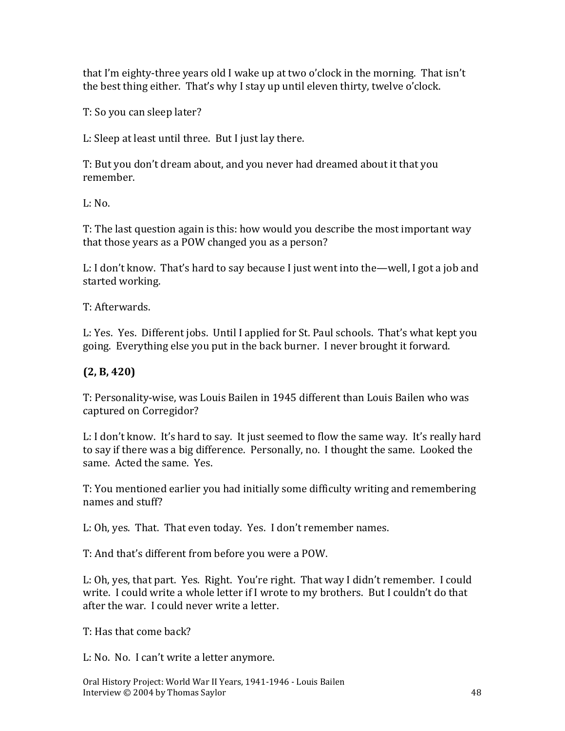that I'm eighty-three years old I wake up at two o'clock in the morning. That isn't the best thing either. That's why I stay up until eleven thirty, twelve o'clock.

T: So you can sleep later?

L: Sleep at least until three. But I just lay there.

T: But you don't dream about, and you never had dreamed about it that you remember.

 $L: No.$ 

T: The last question again is this: how would you describe the most important way that those years as a POW changed you as a person?

L: I don't know. That's hard to say because I just went into the—well, I got a job and started working.

T: Afterwards.

L: Yes. Yes. Different jobs. Until I applied for St. Paul schools. That's what kept you going. Everything else you put in the back burner. I never brought it forward.

### **(2, B, 420)**

T: Personality-wise, was Louis Bailen in 1945 different than Louis Bailen who was captured on Corregidor?

L: I don't know. It's hard to say. It just seemed to flow the same way. It's really hard to say if there was a big difference. Personally, no. I thought the same. Looked the same. Acted the same. Yes.

T: You mentioned earlier you had initially some difficulty writing and remembering names and stuff?

L: Oh, yes. That. That even today. Yes. I don't remember names.

T: And that's different from before you were a POW.

L: Oh, yes, that part. Yes. Right. You're right. That way I didn't remember. I could write. I could write a whole letter if I wrote to my brothers. But I couldn't do that after the war. I could never write a letter.

T: Has that come back?

L: No. No. I can't write a letter anymore.

Oral History Project: World War II Years, 1941-1946 - Louis Bailen Interview © 2004 by Thomas Saylor 48